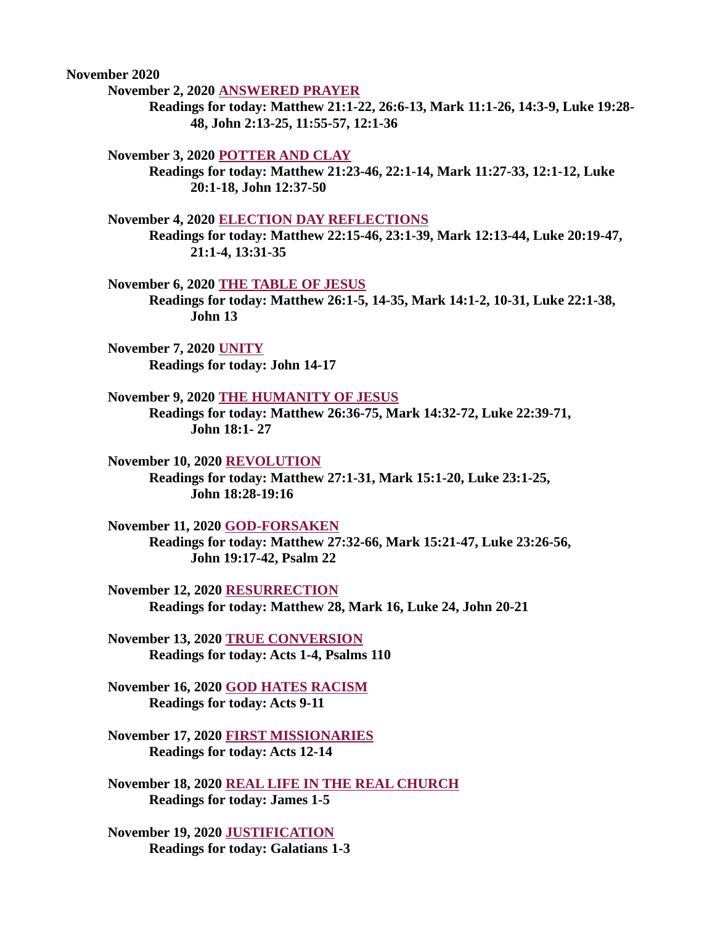November 2020

November 2, 2020 ANSWERED PRAYER

[Readings for today: Matthew 21:1-22, 26:6-13, Mark 11:1-26, 14:3-9, Luke 19:28-](#page-2-0) 48, John 2:13-25, 11:55-57, 12:1-36

November 3, 2020 POTTER AND CLAY

[Readings for today: Matthew 21:23-46, 22:1-14, Mark 11:27-33, 12:1-12, Luke](#page-3-0)  20:1-18, John 12:37-50

November 4, 2020 ELECTION DAY REFLECTIONS

[Readings for today: Matthew 22:15-46, 23:1-39, Mark 12:13-44, Luke 20:19-47,](#page-4-0)  21:1-4, 13:31-35

November 6, 2020 THE TABLE OF JESUS

[Readings for today: Matthew 26:1-5, 14-35, Mark 14:1-2, 10-31, Luke 22:1-38,](#page-5-0)  John 13

November 7, 2020 UNITY [Readings for today: John 14-17](#page-6-0)

November 9, 2020 THE HUMANITY OF JESUS

[Readings for today: Matthew 26:36-75, Mark 14:32-72, Luke 22:39-71,](#page-8-0)  John 18:1- 27

November 10, 2020 REVOLUTION [Readings for today: Matthew 27:1-31, Mark 15:1-20, Luke 23:1-25,](#page-9-0)  John 18:28-19:16

November 11, 2020 GOD-FORSAKEN

[Readings for today: Matthew 27:32-66, Mark 15:21-47, Luke 23:26-56,](#page-11-0)  John 19:17-42, Psalm 22

November 12, 2020 RESURRECTION [Readings for today: Matthew 28, Mark 16, Luke 24, John 20-21](#page-12-0)

[November 13, 2020 TRUE CONVERSION](#page-13-0) Readings for today: Acts 1-4, Psalms 110

[November 16, 2020 GOD HATES RACISM](#page-14-0) Readings for today: Acts 9-11

[November 17, 2020 FIRST MISSIONARIES](#page-16-0) Readings for today: Acts 12-14

[November 18, 2020 REAL LIFE IN THE REAL CHURCH](#page-18-0) Readings for today: James 1-5

[November 19, 2020 JUSTIFICATION](#page-19-0) Readings for today: Galatians 1-3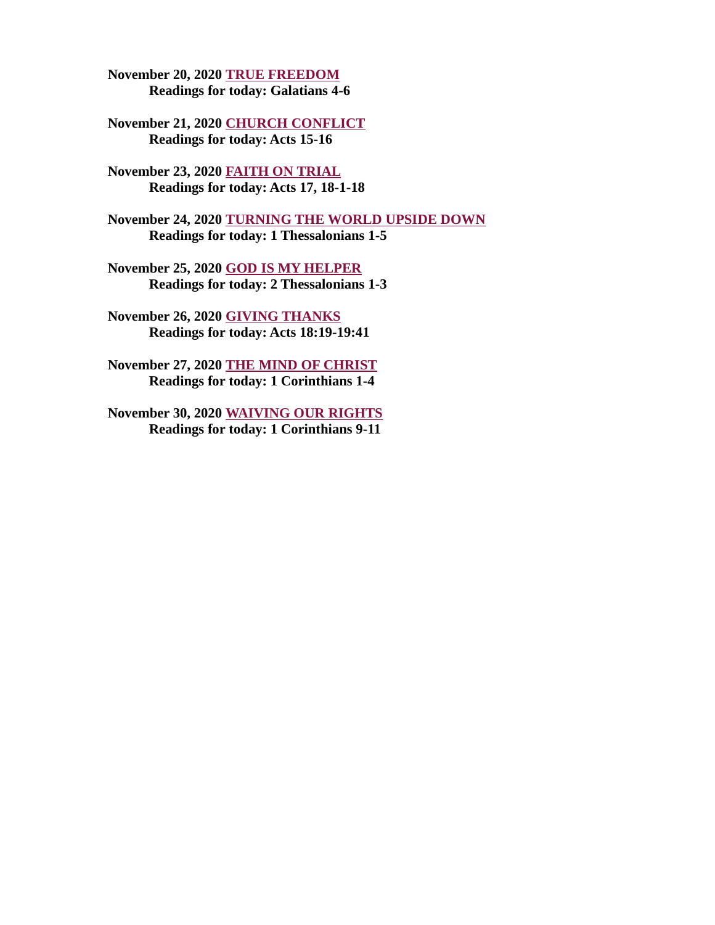[November 20, 2020 TRUE FREEDOM](#page-21-0) Readings for today: Galatians 4-6

[November 21, 2020 CHURCH CONFLICT](#page-22-0) Readings for today: Acts 15-16

[November 23, 2020 FAITH ON TRIAL](#page-24-0) Readings for today: Acts 17, 18-1-18

[November 24, 2020 TURNING THE WORLD UPSIDE DOWN](#page-26-0) Readings for today: 1 Thessalonians 1-5

[November 25, 2020 GOD IS MY HELPER](#page-27-0) Readings for today: 2 Thessalonians 1-3

[November 26, 2020 GIVING THANKS](#page-29-0) Readings for today: Acts 18:19-19:41

[November 27, 2020 THE MIND OF CHRIST](#page-31-0) Readings for today: 1 Corinthians 1-4

[November 30, 2020 WAIVING OUR RIGHTS](#page-33-0) Readings for today: 1 Corinthians 9-11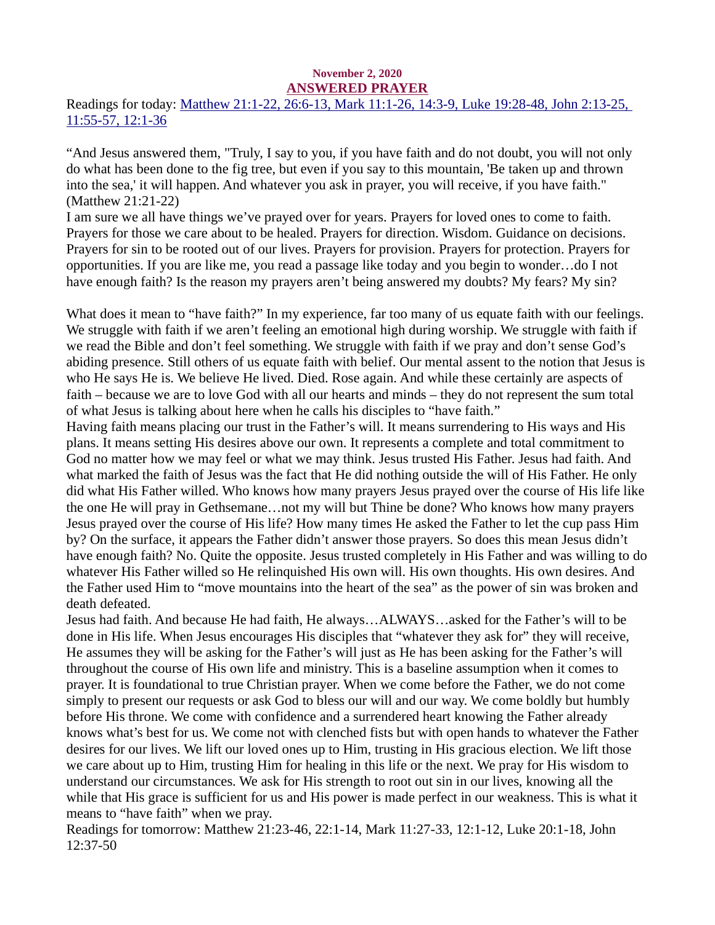#### November 2, 2020 ANSWERED PRAYER

<span id="page-2-0"></span>[Readings for today: Matthew 21:1-22, 26:6-13, Mark 11:1-26, 14:3-9, Luke 19:28-48, John 2:13-25,](https://www.biblegateway.com/passage/?search=Matthew+21%3A1-22%2C+26%3A6-13%2C+Mark+11%3A1-26%2C+14%3A3-9%2C+Luke+19%3A28-48%2C+John+2%3A13-25%2C+11%3A55-57%2C+12%3A1-36&version=ESV)  11:55-57, 12:1-36

"And Jesus answered them, "Truly, I say to you, if you have faith and do not doubt, you will not only do what has been done to the fig tree, but even if you say to this mountain, 'Be taken up and thrown into the sea,' it will happen. And whatever you ask in prayer, you will receive, if you have faith." (Matthew 21:21-22)

I am sure we all have things we've prayed over for years. Prayers for loved ones to come to faith. Prayers for those we care about to be healed. Prayers for direction. Wisdom. Guidance on decisions. Prayers for sin to be rooted out of our lives. Prayers for provision. Prayers for protection. Prayers for opportunities. If you are like me, you read a passage like today and you begin to wonder…do I not have enough faith? Is the reason my prayers aren't being answered my doubts? My fears? My sin?

What does it mean to "have faith?" In my experience, far too many of us equate faith with our feelings. We struggle with faith if we aren't feeling an emotional high during worship. We struggle with faith if we read the Bible and don't feel something. We struggle with faith if we pray and don't sense God's abiding presence. Still others of us equate faith with belief. Our mental assent to the notion that Jesus is who He says He is. We believe He lived. Died. Rose again. And while these certainly are aspects of faith – because we are to love God with all our hearts and minds – they do not represent the sum total of what Jesus is talking about here when he calls his disciples to "have faith."

Having faith means placing our trust in the Father's will. It means surrendering to His ways and His plans. It means setting His desires above our own. It represents a complete and total commitment to God no matter how we may feel or what we may think. Jesus trusted His Father. Jesus had faith. And what marked the faith of Jesus was the fact that He did nothing outside the will of His Father. He only did what His Father willed. Who knows how many prayers Jesus prayed over the course of His life like the one He will pray in Gethsemane…not my will but Thine be done? Who knows how many prayers Jesus prayed over the course of His life? How many times He asked the Father to let the cup pass Him by? On the surface, it appears the Father didn't answer those prayers. So does this mean Jesus didn't have enough faith? No. Quite the opposite. Jesus trusted completely in His Father and was willing to do whatever His Father willed so He relinquished His own will. His own thoughts. His own desires. And the Father used Him to "move mountains into the heart of the sea" as the power of sin was broken and death defeated.

Jesus had faith. And because He had faith, He always…ALWAYS…asked for the Father's will to be done in His life. When Jesus encourages His disciples that "whatever they ask for" they will receive, He assumes they will be asking for the Father's will just as He has been asking for the Father's will throughout the course of His own life and ministry. This is a baseline assumption when it comes to prayer. It is foundational to true Christian prayer. When we come before the Father, we do not come simply to present our requests or ask God to bless our will and our way. We come boldly but humbly before His throne. We come with confidence and a surrendered heart knowing the Father already knows what's best for us. We come not with clenched fists but with open hands to whatever the Father desires for our lives. We lift our loved ones up to Him, trusting in His gracious election. We lift those we care about up to Him, trusting Him for healing in this life or the next. We pray for His wisdom to understand our circumstances. We ask for His strength to root out sin in our lives, knowing all the while that His grace is sufficient for us and His power is made perfect in our weakness. This is what it means to "have faith" when we pray.

Readings for tomorrow: Matthew 21:23-46, 22:1-14, Mark 11:27-33, 12:1-12, Luke 20:1-18, John 12:37-50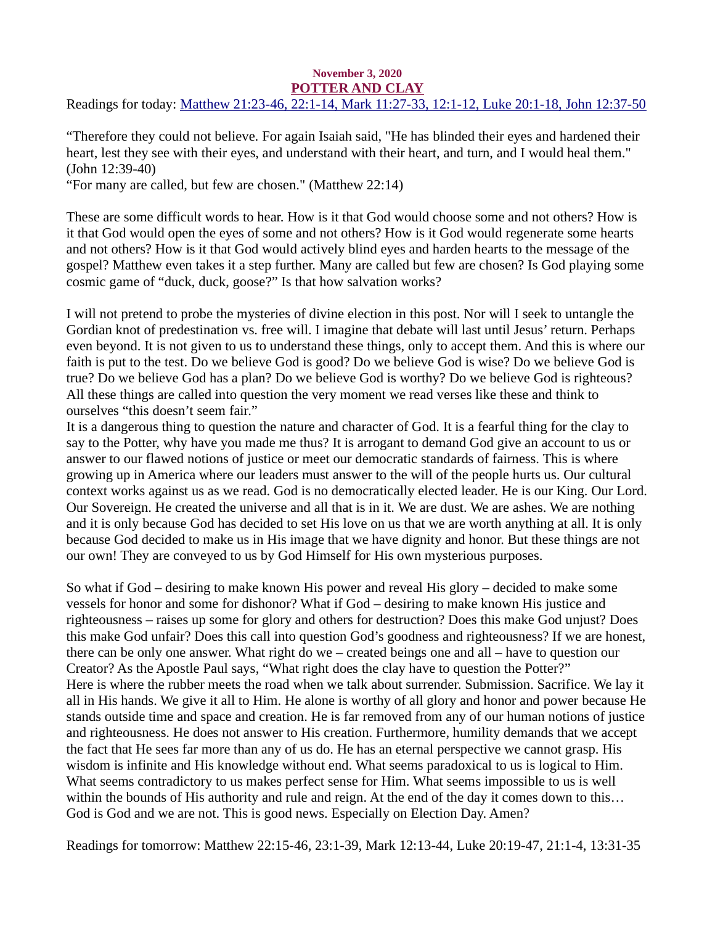#### November 3, 2020 POTTER AND CLAY

<span id="page-3-0"></span>[Readings for today: Matthew 21:23-46, 22:1-14, Mark 11:27-33, 12:1-12, Luke 20:1-18, John 12:37-50](https://www.biblegateway.com/passage/?search=Matthew+21%3A23-46%2C+22%3A1-14%2C+Mark+11%3A27-33%2C+12%3A1-12%2C+Luke+20%3A1-18%2C+John+12%3A37-50&version=ESV)

"Therefore they could not believe. For again Isaiah said, "He has blinded their eyes and hardened their heart, lest they see with their eyes, and understand with their heart, and turn, and I would heal them." (John 12:39-40)

"For many are called, but few are chosen." (Matthew 22:14)

These are some difficult words to hear. How is it that God would choose some and not others? How is it that God would open the eyes of some and not others? How is it God would regenerate some hearts and not others? How is it that God would actively blind eyes and harden hearts to the message of the gospel? Matthew even takes it a step further. Many are called but few are chosen? Is God playing some cosmic game of "duck, duck, goose?" Is that how salvation works?

I will not pretend to probe the mysteries of divine election in this post. Nor will I seek to untangle the Gordian knot of predestination vs. free will. I imagine that debate will last until Jesus' return. Perhaps even beyond. It is not given to us to understand these things, only to accept them. And this is where our faith is put to the test. Do we believe God is good? Do we believe God is wise? Do we believe God is true? Do we believe God has a plan? Do we believe God is worthy? Do we believe God is righteous? All these things are called into question the very moment we read verses like these and think to ourselves "this doesn't seem fair."

It is a dangerous thing to question the nature and character of God. It is a fearful thing for the clay to say to the Potter, why have you made me thus? It is arrogant to demand God give an account to us or answer to our flawed notions of justice or meet our democratic standards of fairness. This is where growing up in America where our leaders must answer to the will of the people hurts us. Our cultural context works against us as we read. God is no democratically elected leader. He is our King. Our Lord. Our Sovereign. He created the universe and all that is in it. We are dust. We are ashes. We are nothing and it is only because God has decided to set His love on us that we are worth anything at all. It is only because God decided to make us in His image that we have dignity and honor. But these things are not our own! They are conveyed to us by God Himself for His own mysterious purposes.

So what if God – desiring to make known His power and reveal His glory – decided to make some vessels for honor and some for dishonor? What if God – desiring to make known His justice and righteousness – raises up some for glory and others for destruction? Does this make God unjust? Does this make God unfair? Does this call into question God's goodness and righteousness? If we are honest, there can be only one answer. What right do we – created beings one and all – have to question our Creator? As the Apostle Paul says, "What right does the clay have to question the Potter?" Here is where the rubber meets the road when we talk about surrender. Submission. Sacrifice. We lay it all in His hands. We give it all to Him. He alone is worthy of all glory and honor and power because He stands outside time and space and creation. He is far removed from any of our human notions of justice and righteousness. He does not answer to His creation. Furthermore, humility demands that we accept the fact that He sees far more than any of us do. He has an eternal perspective we cannot grasp. His wisdom is infinite and His knowledge without end. What seems paradoxical to us is logical to Him. What seems contradictory to us makes perfect sense for Him. What seems impossible to us is well within the bounds of His authority and rule and reign. At the end of the day it comes down to this... God is God and we are not. This is good news. Especially on Election Day. Amen?

Readings for tomorrow: Matthew 22:15-46, 23:1-39, Mark 12:13-44, Luke 20:19-47, 21:1-4, 13:31-35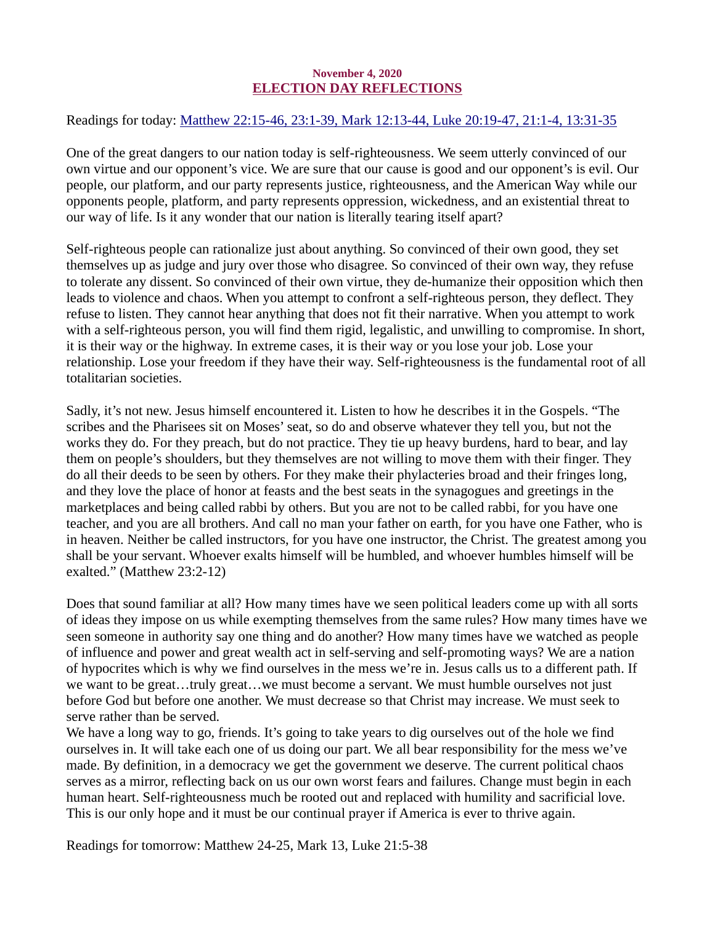## November 4, 2020 ELECTION DAY REFLECTIONS

<span id="page-4-0"></span>[Readings for today: Matthew 22:15-46, 23:1-39, Mark 12:13-44, Luke 20:19-47, 21:1-4, 13:31-35](https://www.biblegateway.com/passage/?search=Matthew+22%3A15-46%2C+23%3A1-39%2C+Mark+12%3A13-44%2C+Luke+20%3A19-47%2C+21%3A1-4%2C+13%3A31-35&version=ESV)

One of the great dangers to our nation today is self-righteousness. We seem utterly convinced of our own virtue and our opponent's vice. We are sure that our cause is good and our opponent's is evil. Our people, our platform, and our party represents justice, righteousness, and the American Way while our opponents people, platform, and party represents oppression, wickedness, and an existential threat to our way of life. Is it any wonder that our nation is literally tearing itself apart?

Self-righteous people can rationalize just about anything. So convinced of their own good, they set themselves up as judge and jury over those who disagree. So convinced of their own way, they refuse to tolerate any dissent. So convinced of their own virtue, they de-humanize their opposition which then leads to violence and chaos. When you attempt to confront a self-righteous person, they deflect. They refuse to listen. They cannot hear anything that does not fit their narrative. When you attempt to work with a self-righteous person, you will find them rigid, legalistic, and unwilling to compromise. In short, it is their way or the highway. In extreme cases, it is their way or you lose your job. Lose your relationship. Lose your freedom if they have their way. Self-righteousness is the fundamental root of all totalitarian societies.

Sadly, it's not new. Jesus himself encountered it. Listen to how he describes it in the Gospels. "The scribes and the Pharisees sit on Moses' seat, so do and observe whatever they tell you, but not the works they do. For they preach, but do not practice. They tie up heavy burdens, hard to bear, and lay them on people's shoulders, but they themselves are not willing to move them with their finger. They do all their deeds to be seen by others. For they make their phylacteries broad and their fringes long, and they love the place of honor at feasts and the best seats in the synagogues and greetings in the marketplaces and being called rabbi by others. But you are not to be called rabbi, for you have one teacher, and you are all brothers. And call no man your father on earth, for you have one Father, who is in heaven. Neither be called instructors, for you have one instructor, the Christ. The greatest among you shall be your servant. Whoever exalts himself will be humbled, and whoever humbles himself will be exalted." (Matthew 23:2-12)

Does that sound familiar at all? How many times have we seen political leaders come up with all sorts of ideas they impose on us while exempting themselves from the same rules? How many times have we seen someone in authority say one thing and do another? How many times have we watched as people of influence and power and great wealth act in self-serving and self-promoting ways? We are a nation of hypocrites which is why we find ourselves in the mess we're in. Jesus calls us to a different path. If we want to be great…truly great…we must become a servant. We must humble ourselves not just before God but before one another. We must decrease so that Christ may increase. We must seek to serve rather than be served.

We have a long way to go, friends. It's going to take years to dig ourselves out of the hole we find ourselves in. It will take each one of us doing our part. We all bear responsibility for the mess we've made. By definition, in a democracy we get the government we deserve. The current political chaos serves as a mirror, reflecting back on us our own worst fears and failures. Change must begin in each human heart. Self-righteousness much be rooted out and replaced with humility and sacrificial love. This is our only hope and it must be our continual prayer if America is ever to thrive again.

Readings for tomorrow: Matthew 24-25, Mark 13, Luke 21:5-38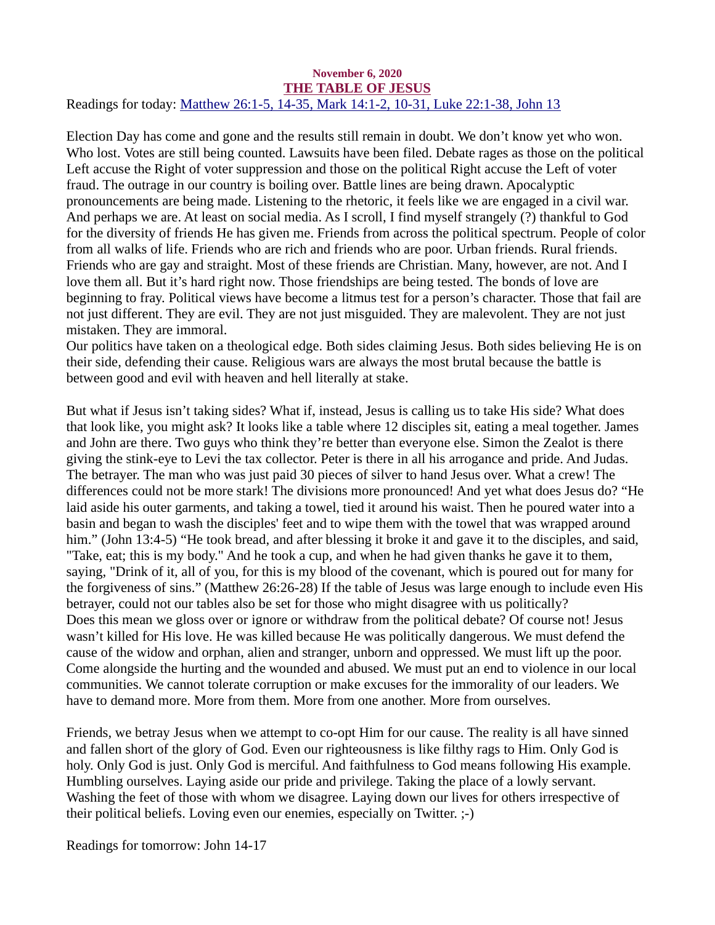#### <span id="page-5-0"></span>November 6, 2020 THE TABLE OF JESUS [Readings for today: Matthew 26:1-5, 14-35, Mark 14:1-2, 10-31, Luke 22:1-38, John 13](https://www.biblegateway.com/passage/?search=Matthew+26%3A1-5%2C+14-35%2C+Mark+14%3A1-2%2C+10-31%2C+Luke+22%3A1-38%2C+John+13&version=ESV)

Election Day has come and gone and the results still remain in doubt. We don't know yet who won. Who lost. Votes are still being counted. Lawsuits have been filed. Debate rages as those on the political Left accuse the Right of voter suppression and those on the political Right accuse the Left of voter fraud. The outrage in our country is boiling over. Battle lines are being drawn. Apocalyptic pronouncements are being made. Listening to the rhetoric, it feels like we are engaged in a civil war. And perhaps we are. At least on social media. As I scroll, I find myself strangely (?) thankful to God for the diversity of friends He has given me. Friends from across the political spectrum. People of color from all walks of life. Friends who are rich and friends who are poor. Urban friends. Rural friends. Friends who are gay and straight. Most of these friends are Christian. Many, however, are not. And I love them all. But it's hard right now. Those friendships are being tested. The bonds of love are beginning to fray. Political views have become a litmus test for a person's character. Those that fail are not just different. They are evil. They are not just misguided. They are malevolent. They are not just mistaken. They are immoral.

Our politics have taken on a theological edge. Both sides claiming Jesus. Both sides believing He is on their side, defending their cause. Religious wars are always the most brutal because the battle is between good and evil with heaven and hell literally at stake.

But what if Jesus isn't taking sides? What if, instead, Jesus is calling us to take His side? What does that look like, you might ask? It looks like a table where 12 disciples sit, eating a meal together. James and John are there. Two guys who think they're better than everyone else. Simon the Zealot is there giving the stink-eye to Levi the tax collector. Peter is there in all his arrogance and pride. And Judas. The betrayer. The man who was just paid 30 pieces of silver to hand Jesus over. What a crew! The differences could not be more stark! The divisions more pronounced! And yet what does Jesus do? "He laid aside his outer garments, and taking a towel, tied it around his waist. Then he poured water into a basin and began to wash the disciples' feet and to wipe them with the towel that was wrapped around him." (John 13:4-5) "He took bread, and after blessing it broke it and gave it to the disciples, and said, "Take, eat; this is my body." And he took a cup, and when he had given thanks he gave it to them, saying, "Drink of it, all of you, for this is my blood of the covenant, which is poured out for many for the forgiveness of sins." (Matthew 26:26-28) If the table of Jesus was large enough to include even His betrayer, could not our tables also be set for those who might disagree with us politically? Does this mean we gloss over or ignore or withdraw from the political debate? Of course not! Jesus wasn't killed for His love. He was killed because He was politically dangerous. We must defend the cause of the widow and orphan, alien and stranger, unborn and oppressed. We must lift up the poor. Come alongside the hurting and the wounded and abused. We must put an end to violence in our local communities. We cannot tolerate corruption or make excuses for the immorality of our leaders. We have to demand more. More from them. More from one another. More from ourselves.

Friends, we betray Jesus when we attempt to co-opt Him for our cause. The reality is all have sinned and fallen short of the glory of God. Even our righteousness is like filthy rags to Him. Only God is holy. Only God is just. Only God is merciful. And faithfulness to God means following His example. Humbling ourselves. Laying aside our pride and privilege. Taking the place of a lowly servant. Washing the feet of those with whom we disagree. Laying down our lives for others irrespective of their political beliefs. Loving even our enemies, especially on Twitter. ;-)

Readings for tomorrow: John 14-17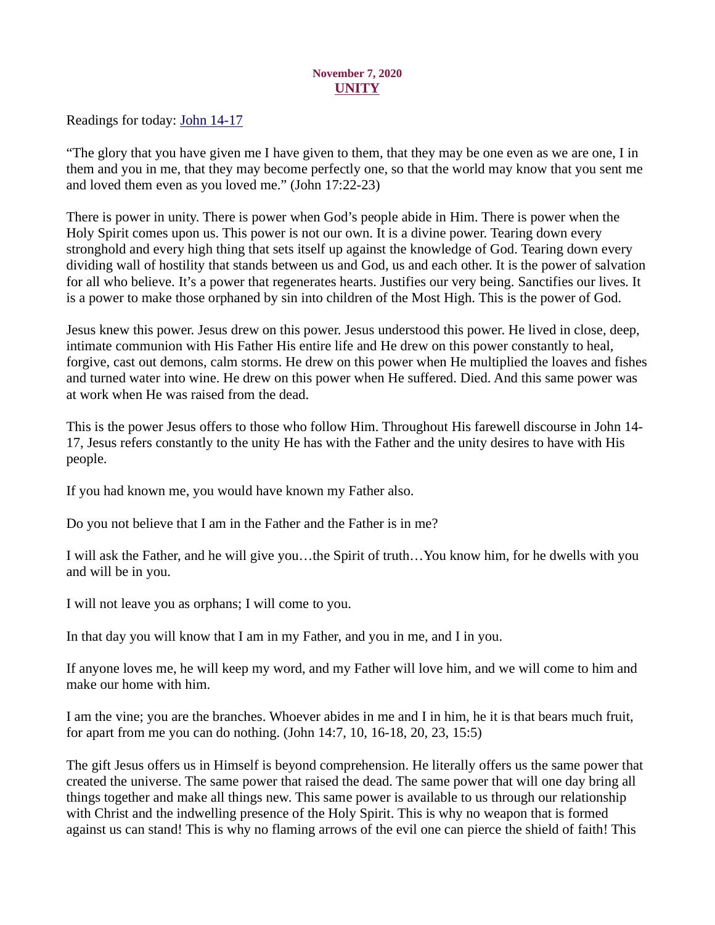## November 7, 2020 UNITY

<span id="page-6-0"></span>[Readings for today: John 14-17](https://www.biblegateway.com/passage/?search=John+14-17&version=ESV)

"The glory that you have given me I have given to them, that they may be one even as we are one, I in them and you in me, that they may become perfectly one, so that the world may know that you sent me and loved them even as you loved me." (John 17:22-23)

There is power in unity. There is power when God's people abide in Him. There is power when the Holy Spirit comes upon us. This power is not our own. It is a divine power. Tearing down every stronghold and every high thing that sets itself up against the knowledge of God. Tearing down every dividing wall of hostility that stands between us and God, us and each other. It is the power of salvation for all who believe. It's a power that regenerates hearts. Justifies our very being. Sanctifies our lives. It is a power to make those orphaned by sin into children of the Most High. This is the power of God.

Jesus knew this power. Jesus drew on this power. Jesus understood this power. He lived in close, deep, intimate communion with His Father His entire life and He drew on this power constantly to heal, forgive, cast out demons, calm storms. He drew on this power when He multiplied the loaves and fishes and turned water into wine. He drew on this power when He suffered. Died. And this same power was at work when He was raised from the dead.

This is the power Jesus offers to those who follow Him. Throughout His farewell discourse in John 14- 17, Jesus refers constantly to the unity He has with the Father and the unity desires to have with His people.

If you had known me, you would have known my Father also.

Do you not believe that I am in the Father and the Father is in me?

I will ask the Father, and he will give you…the Spirit of truth…You know him, for he dwells with you and will be in you.

I will not leave you as orphans; I will come to you.

In that day you will know that I am in my Father, and you in me, and I in you.

If anyone loves me, he will keep my word, and my Father will love him, and we will come to him and make our home with him.

I am the vine; you are the branches. Whoever abides in me and I in him, he it is that bears much fruit, for apart from me you can do nothing. (John 14:7, 10, 16-18, 20, 23, 15:5)

The gift Jesus offers us in Himself is beyond comprehension. He literally offers us the same power that created the universe. The same power that raised the dead. The same power that will one day bring all things together and make all things new. This same power is available to us through our relationship with Christ and the indwelling presence of the Holy Spirit. This is why no weapon that is formed against us can stand! This is why no flaming arrows of the evil one can pierce the shield of faith! This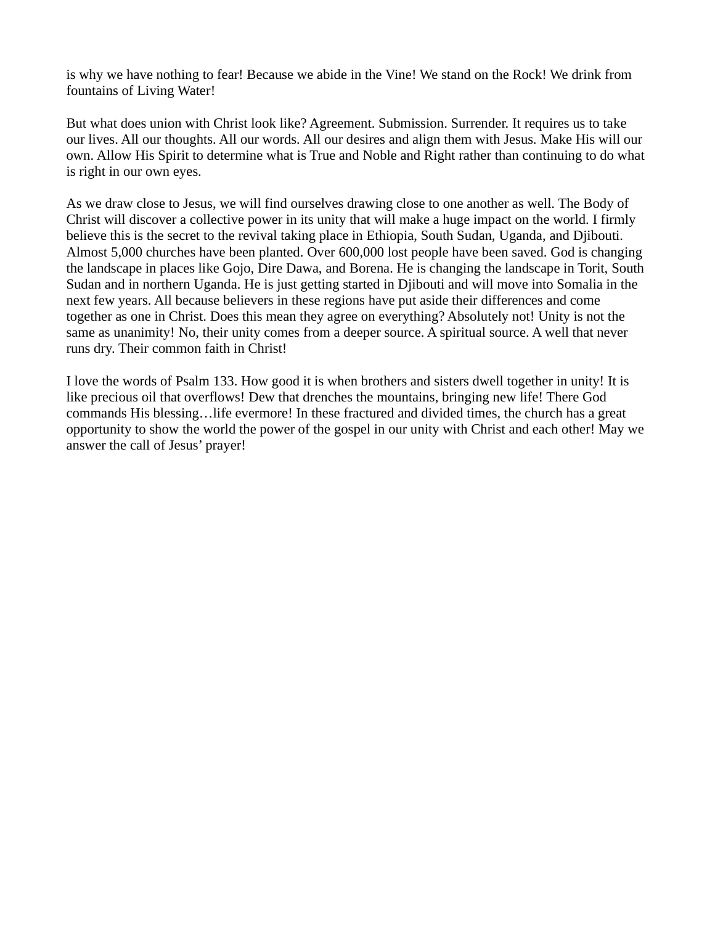is why we have nothing to fear! Because we abide in the Vine! We stand on the Rock! We drink from fountains of Living Water!

But what does union with Christ look like? Agreement. Submission. Surrender. It requires us to take our lives. All our thoughts. All our words. All our desires and align them with Jesus. Make His will our own. Allow His Spirit to determine what is True and Noble and Right rather than continuing to do what is right in our own eyes.

As we draw close to Jesus, we will find ourselves drawing close to one another as well. The Body of Christ will discover a collective power in its unity that will make a huge impact on the world. I firmly believe this is the secret to the revival taking place in Ethiopia, South Sudan, Uganda, and Djibouti. Almost 5,000 churches have been planted. Over 600,000 lost people have been saved. God is changing the landscape in places like Gojo, Dire Dawa, and Borena. He is changing the landscape in Torit, South Sudan and in northern Uganda. He is just getting started in Djibouti and will move into Somalia in the next few years. All because believers in these regions have put aside their differences and come together as one in Christ. Does this mean they agree on everything? Absolutely not! Unity is not the same as unanimity! No, their unity comes from a deeper source. A spiritual source. A well that never runs dry. Their common faith in Christ!

I love the words of Psalm 133. How good it is when brothers and sisters dwell together in unity! It is like precious oil that overflows! Dew that drenches the mountains, bringing new life! There God commands His blessing…life evermore! In these fractured and divided times, the church has a great opportunity to show the world the power of the gospel in our unity with Christ and each other! May we answer the call of Jesus' prayer!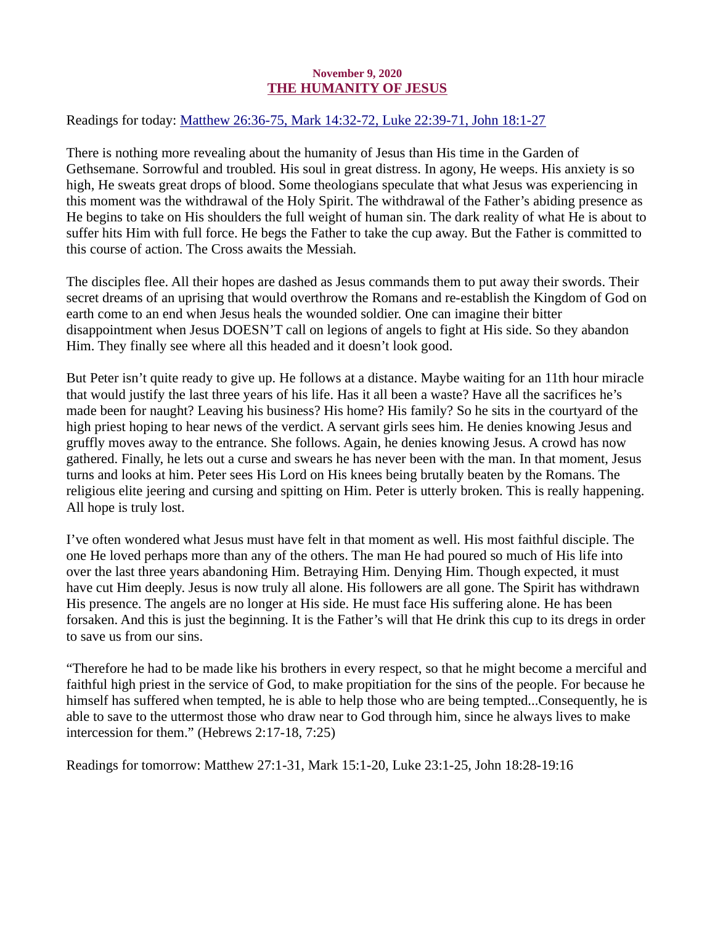### November 9, 2020 THE HUMANITY OF JESUS

<span id="page-8-0"></span>[Readings for today: Matthew 26:36-75, Mark 14:32-72, Luke 22:39-71, John 18:1-27](https://www.biblegateway.com/passage/?search=Matthew+26%3A36-75%2C+Mark+14%3A32-72%2C+Luke+22%3A39-71%2C+John+18%3A1-27&version=ESV)

There is nothing more revealing about the humanity of Jesus than His time in the Garden of Gethsemane. Sorrowful and troubled. His soul in great distress. In agony, He weeps. His anxiety is so high, He sweats great drops of blood. Some theologians speculate that what Jesus was experiencing in this moment was the withdrawal of the Holy Spirit. The withdrawal of the Father's abiding presence as He begins to take on His shoulders the full weight of human sin. The dark reality of what He is about to suffer hits Him with full force. He begs the Father to take the cup away. But the Father is committed to this course of action. The Cross awaits the Messiah.

The disciples flee. All their hopes are dashed as Jesus commands them to put away their swords. Their secret dreams of an uprising that would overthrow the Romans and re-establish the Kingdom of God on earth come to an end when Jesus heals the wounded soldier. One can imagine their bitter disappointment when Jesus DOESN'T call on legions of angels to fight at His side. So they abandon Him. They finally see where all this headed and it doesn't look good.

But Peter isn't quite ready to give up. He follows at a distance. Maybe waiting for an 11th hour miracle that would justify the last three years of his life. Has it all been a waste? Have all the sacrifices he's made been for naught? Leaving his business? His home? His family? So he sits in the courtyard of the high priest hoping to hear news of the verdict. A servant girls sees him. He denies knowing Jesus and gruffly moves away to the entrance. She follows. Again, he denies knowing Jesus. A crowd has now gathered. Finally, he lets out a curse and swears he has never been with the man. In that moment, Jesus turns and looks at him. Peter sees His Lord on His knees being brutally beaten by the Romans. The religious elite jeering and cursing and spitting on Him. Peter is utterly broken. This is really happening. All hope is truly lost.

I've often wondered what Jesus must have felt in that moment as well. His most faithful disciple. The one He loved perhaps more than any of the others. The man He had poured so much of His life into over the last three years abandoning Him. Betraying Him. Denying Him. Though expected, it must have cut Him deeply. Jesus is now truly all alone. His followers are all gone. The Spirit has withdrawn His presence. The angels are no longer at His side. He must face His suffering alone. He has been forsaken. And this is just the beginning. It is the Father's will that He drink this cup to its dregs in order to save us from our sins.

"Therefore he had to be made like his brothers in every respect, so that he might become a merciful and faithful high priest in the service of God, to make propitiation for the sins of the people. For because he himself has suffered when tempted, he is able to help those who are being tempted...Consequently, he is able to save to the uttermost those who draw near to God through him, since he always lives to make intercession for them." (Hebrews 2:17-18, 7:25)

Readings for tomorrow: Matthew 27:1-31, Mark 15:1-20, Luke 23:1-25, John 18:28-19:16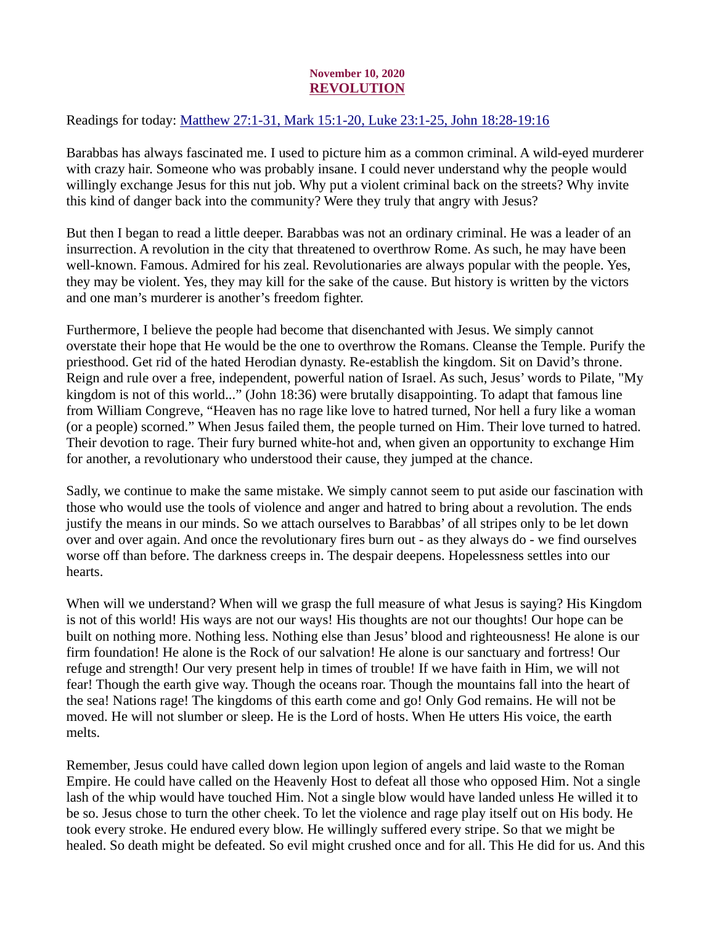# November 10, 2020 REVOLUTION

<span id="page-9-0"></span>[Readings for today: Matthew 27:1-31, Mark 15:1-20, Luke 23:1-25, John 18:28-19:16](https://www.biblegateway.com/passage/?search=Matthew+27%3A1-31%2C+Mark+15%3A1-20%2C+Luke+23%3A1-25%2C+John+18%3A28-19%3A16&version=ESV)

Barabbas has always fascinated me. I used to picture him as a common criminal. A wild-eyed murderer with crazy hair. Someone who was probably insane. I could never understand why the people would willingly exchange Jesus for this nut job. Why put a violent criminal back on the streets? Why invite this kind of danger back into the community? Were they truly that angry with Jesus?

But then I began to read a little deeper. Barabbas was not an ordinary criminal. He was a leader of an insurrection. A revolution in the city that threatened to overthrow Rome. As such, he may have been well-known. Famous. Admired for his zeal. Revolutionaries are always popular with the people. Yes, they may be violent. Yes, they may kill for the sake of the cause. But history is written by the victors and one man's murderer is another's freedom fighter.

Furthermore, I believe the people had become that disenchanted with Jesus. We simply cannot overstate their hope that He would be the one to overthrow the Romans. Cleanse the Temple. Purify the priesthood. Get rid of the hated Herodian dynasty. Re-establish the kingdom. Sit on David's throne. Reign and rule over a free, independent, powerful nation of Israel. As such, Jesus' words to Pilate, "My kingdom is not of this world..." (John 18:36) were brutally disappointing. To adapt that famous line from William Congreve, "Heaven has no rage like love to hatred turned, Nor hell a fury like a woman (or a people) scorned." When Jesus failed them, the people turned on Him. Their love turned to hatred. Their devotion to rage. Their fury burned white-hot and, when given an opportunity to exchange Him for another, a revolutionary who understood their cause, they jumped at the chance.

Sadly, we continue to make the same mistake. We simply cannot seem to put aside our fascination with those who would use the tools of violence and anger and hatred to bring about a revolution. The ends justify the means in our minds. So we attach ourselves to Barabbas' of all stripes only to be let down over and over again. And once the revolutionary fires burn out - as they always do - we find ourselves worse off than before. The darkness creeps in. The despair deepens. Hopelessness settles into our hearts.

When will we understand? When will we grasp the full measure of what Jesus is saying? His Kingdom is not of this world! His ways are not our ways! His thoughts are not our thoughts! Our hope can be built on nothing more. Nothing less. Nothing else than Jesus' blood and righteousness! He alone is our firm foundation! He alone is the Rock of our salvation! He alone is our sanctuary and fortress! Our refuge and strength! Our very present help in times of trouble! If we have faith in Him, we will not fear! Though the earth give way. Though the oceans roar. Though the mountains fall into the heart of the sea! Nations rage! The kingdoms of this earth come and go! Only God remains. He will not be moved. He will not slumber or sleep. He is the Lord of hosts. When He utters His voice, the earth melts.

Remember, Jesus could have called down legion upon legion of angels and laid waste to the Roman Empire. He could have called on the Heavenly Host to defeat all those who opposed Him. Not a single lash of the whip would have touched Him. Not a single blow would have landed unless He willed it to be so. Jesus chose to turn the other cheek. To let the violence and rage play itself out on His body. He took every stroke. He endured every blow. He willingly suffered every stripe. So that we might be healed. So death might be defeated. So evil might crushed once and for all. This He did for us. And this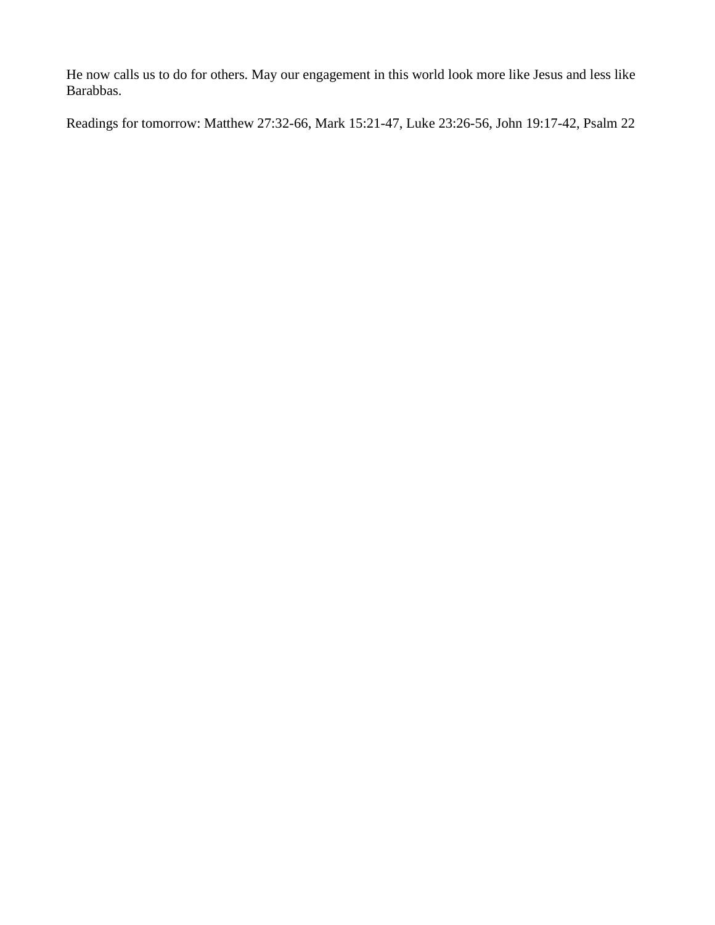He now calls us to do for others. May our engagement in this world look more like Jesus and less like Barabbas.

Readings for tomorrow: Matthew 27:32-66, Mark 15:21-47, Luke 23:26-56, John 19:17-42, Psalm 22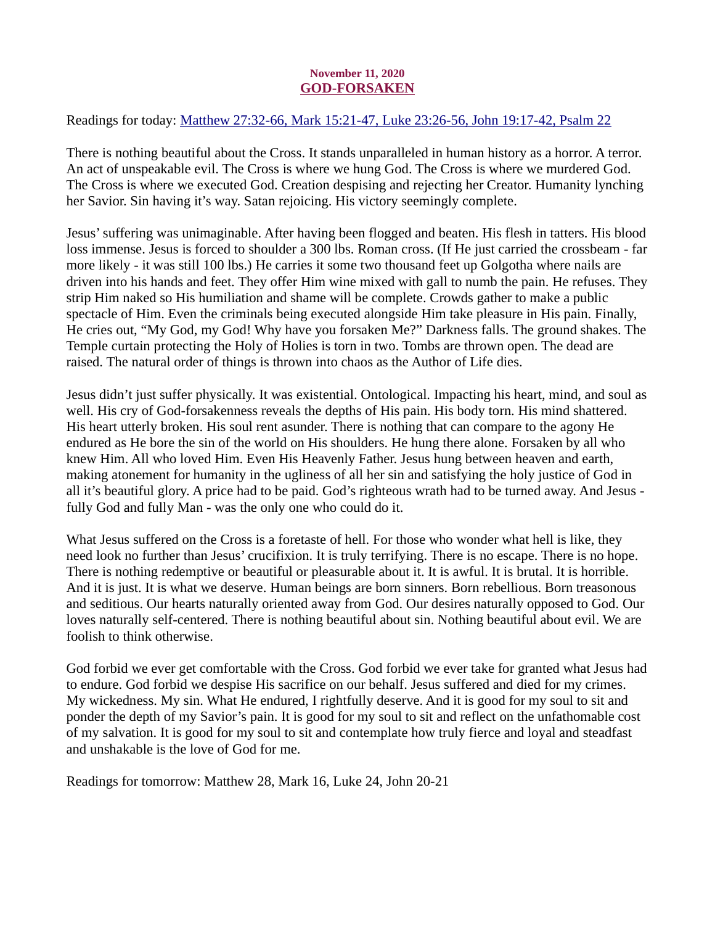## November 11, 2020 GOD-FORSAKEN

<span id="page-11-0"></span>[Readings for today: Matthew 27:32-66, Mark 15:21-47, Luke 23:26-56, John 19:17-42, Psalm 22](https://www.biblegateway.com/passage/?search=Matthew+27%3A32-66%2C+Mark+15%3A21-47%2C+Luke+23%3A26-56%2C+John+19%3A17-42%2C+Psalm+22&version=ESV)

There is nothing beautiful about the Cross. It stands unparalleled in human history as a horror. A terror. An act of unspeakable evil. The Cross is where we hung God. The Cross is where we murdered God. The Cross is where we executed God. Creation despising and rejecting her Creator. Humanity lynching her Savior. Sin having it's way. Satan rejoicing. His victory seemingly complete.

Jesus' suffering was unimaginable. After having been flogged and beaten. His flesh in tatters. His blood loss immense. Jesus is forced to shoulder a 300 lbs. Roman cross. (If He just carried the crossbeam - far more likely - it was still 100 lbs.) He carries it some two thousand feet up Golgotha where nails are driven into his hands and feet. They offer Him wine mixed with gall to numb the pain. He refuses. They strip Him naked so His humiliation and shame will be complete. Crowds gather to make a public spectacle of Him. Even the criminals being executed alongside Him take pleasure in His pain. Finally, He cries out, "My God, my God! Why have you forsaken Me?" Darkness falls. The ground shakes. The Temple curtain protecting the Holy of Holies is torn in two. Tombs are thrown open. The dead are raised. The natural order of things is thrown into chaos as the Author of Life dies.

Jesus didn't just suffer physically. It was existential. Ontological. Impacting his heart, mind, and soul as well. His cry of God-forsakenness reveals the depths of His pain. His body torn. His mind shattered. His heart utterly broken. His soul rent asunder. There is nothing that can compare to the agony He endured as He bore the sin of the world on His shoulders. He hung there alone. Forsaken by all who knew Him. All who loved Him. Even His Heavenly Father. Jesus hung between heaven and earth, making atonement for humanity in the ugliness of all her sin and satisfying the holy justice of God in all it's beautiful glory. A price had to be paid. God's righteous wrath had to be turned away. And Jesus fully God and fully Man - was the only one who could do it.

What Jesus suffered on the Cross is a foretaste of hell. For those who wonder what hell is like, they need look no further than Jesus' crucifixion. It is truly terrifying. There is no escape. There is no hope. There is nothing redemptive or beautiful or pleasurable about it. It is awful. It is brutal. It is horrible. And it is just. It is what we deserve. Human beings are born sinners. Born rebellious. Born treasonous and seditious. Our hearts naturally oriented away from God. Our desires naturally opposed to God. Our loves naturally self-centered. There is nothing beautiful about sin. Nothing beautiful about evil. We are foolish to think otherwise.

God forbid we ever get comfortable with the Cross. God forbid we ever take for granted what Jesus had to endure. God forbid we despise His sacrifice on our behalf. Jesus suffered and died for my crimes. My wickedness. My sin. What He endured, I rightfully deserve. And it is good for my soul to sit and ponder the depth of my Savior's pain. It is good for my soul to sit and reflect on the unfathomable cost of my salvation. It is good for my soul to sit and contemplate how truly fierce and loyal and steadfast and unshakable is the love of God for me.

Readings for tomorrow: Matthew 28, Mark 16, Luke 24, John 20-21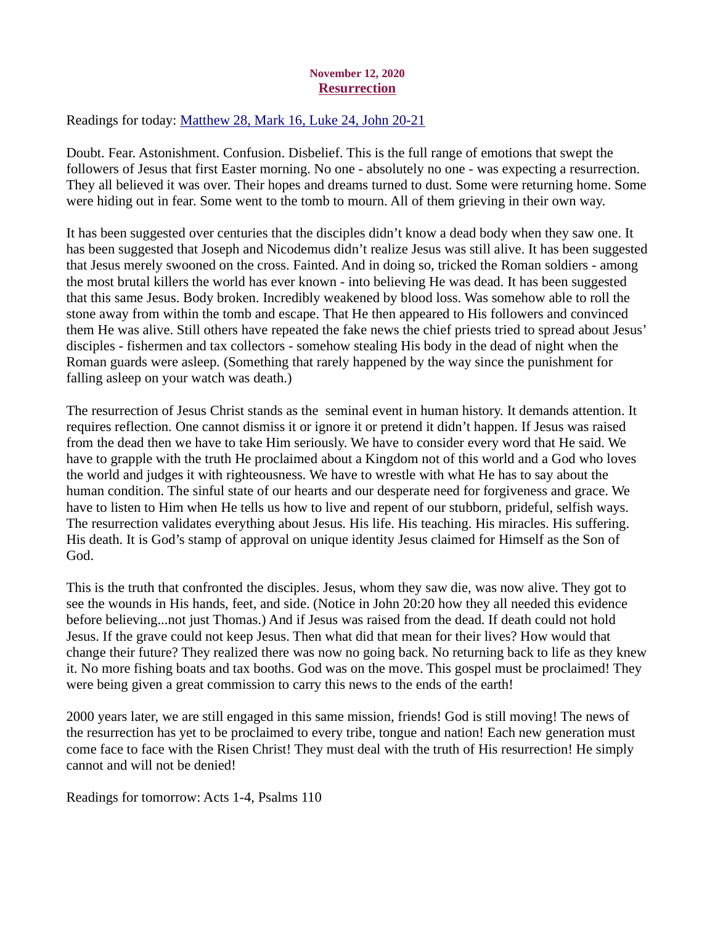## November 12, 2020 **Resurrection**

<span id="page-12-0"></span>[Readings for today: Matthew 28, Mark 16, Luke 24, John 20-21](https://www.biblegateway.com/passage/?search=Matthew+28%2C+Mark+16%2C+Luke+24%2C+John+20-21&version=ESV)

Doubt. Fear. Astonishment. Confusion. Disbelief. This is the full range of emotions that swept the followers of Jesus that first Easter morning. No one - absolutely no one - was expecting a resurrection. They all believed it was over. Their hopes and dreams turned to dust. Some were returning home. Some were hiding out in fear. Some went to the tomb to mourn. All of them grieving in their own way.

It has been suggested over centuries that the disciples didn't know a dead body when they saw one. It has been suggested that Joseph and Nicodemus didn't realize Jesus was still alive. It has been suggested that Jesus merely swooned on the cross. Fainted. And in doing so, tricked the Roman soldiers - among the most brutal killers the world has ever known - into believing He was dead. It has been suggested that this same Jesus. Body broken. Incredibly weakened by blood loss. Was somehow able to roll the stone away from within the tomb and escape. That He then appeared to His followers and convinced them He was alive. Still others have repeated the fake news the chief priests tried to spread about Jesus' disciples - fishermen and tax collectors - somehow stealing His body in the dead of night when the Roman guards were asleep. (Something that rarely happened by the way since the punishment for falling asleep on your watch was death.)

The resurrection of Jesus Christ stands as the seminal event in human history. It demands attention. It requires reflection. One cannot dismiss it or ignore it or pretend it didn't happen. If Jesus was raised from the dead then we have to take Him seriously. We have to consider every word that He said. We have to grapple with the truth He proclaimed about a Kingdom not of this world and a God who loves the world and judges it with righteousness. We have to wrestle with what He has to say about the human condition. The sinful state of our hearts and our desperate need for forgiveness and grace. We have to listen to Him when He tells us how to live and repent of our stubborn, prideful, selfish ways. The resurrection validates everything about Jesus. His life. His teaching. His miracles. His suffering. His death. It is God's stamp of approval on unique identity Jesus claimed for Himself as the Son of God.

This is the truth that confronted the disciples. Jesus, whom they saw die, was now alive. They got to see the wounds in His hands, feet, and side. (Notice in John 20:20 how they all needed this evidence before believing...not just Thomas.) And if Jesus was raised from the dead. If death could not hold Jesus. If the grave could not keep Jesus. Then what did that mean for their lives? How would that change their future? They realized there was now no going back. No returning back to life as they knew it. No more fishing boats and tax booths. God was on the move. This gospel must be proclaimed! They were being given a great commission to carry this news to the ends of the earth!

2000 years later, we are still engaged in this same mission, friends! God is still moving! The news of the resurrection has yet to be proclaimed to every tribe, tongue and nation! Each new generation must come face to face with the Risen Christ! They must deal with the truth of His resurrection! He simply cannot and will not be denied!

Readings for tomorrow: Acts 1-4, Psalms 110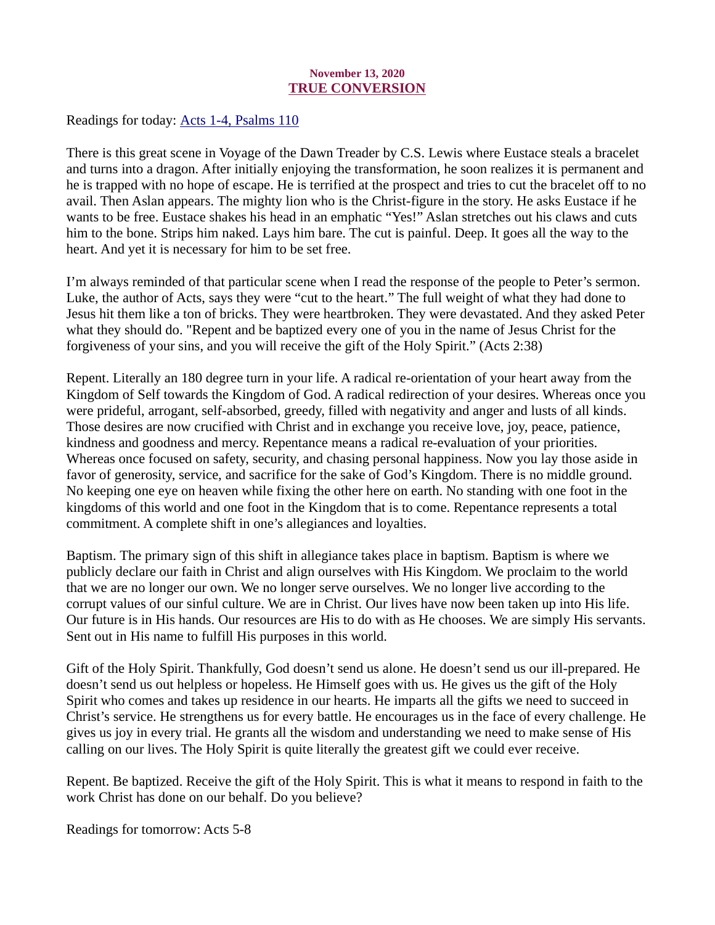## November 13, 2020 TRUE CONVERSION

<span id="page-13-0"></span>[Readings for today: Acts 1-4, Psalms 110](https://www.biblegateway.com/passage/?search=Acts+1-4%2C+Psalms+110&version=ESV)

There is this great scene in Voyage of the Dawn Treader by C.S. Lewis where Eustace steals a bracelet and turns into a dragon. After initially enjoying the transformation, he soon realizes it is permanent and he is trapped with no hope of escape. He is terrified at the prospect and tries to cut the bracelet off to no avail. Then Aslan appears. The mighty lion who is the Christ-figure in the story. He asks Eustace if he wants to be free. Eustace shakes his head in an emphatic "Yes!" Aslan stretches out his claws and cuts him to the bone. Strips him naked. Lays him bare. The cut is painful. Deep. It goes all the way to the heart. And yet it is necessary for him to be set free.

I'm always reminded of that particular scene when I read the response of the people to Peter's sermon. Luke, the author of Acts, says they were "cut to the heart." The full weight of what they had done to Jesus hit them like a ton of bricks. They were heartbroken. They were devastated. And they asked Peter what they should do. "Repent and be baptized every one of you in the name of Jesus Christ for the forgiveness of your sins, and you will receive the gift of the Holy Spirit." (Acts 2:38)

Repent. Literally an 180 degree turn in your life. A radical re-orientation of your heart away from the Kingdom of Self towards the Kingdom of God. A radical redirection of your desires. Whereas once you were prideful, arrogant, self-absorbed, greedy, filled with negativity and anger and lusts of all kinds. Those desires are now crucified with Christ and in exchange you receive love, joy, peace, patience, kindness and goodness and mercy. Repentance means a radical re-evaluation of your priorities. Whereas once focused on safety, security, and chasing personal happiness. Now you lay those aside in favor of generosity, service, and sacrifice for the sake of God's Kingdom. There is no middle ground. No keeping one eye on heaven while fixing the other here on earth. No standing with one foot in the kingdoms of this world and one foot in the Kingdom that is to come. Repentance represents a total commitment. A complete shift in one's allegiances and loyalties.

Baptism. The primary sign of this shift in allegiance takes place in baptism. Baptism is where we publicly declare our faith in Christ and align ourselves with His Kingdom. We proclaim to the world that we are no longer our own. We no longer serve ourselves. We no longer live according to the corrupt values of our sinful culture. We are in Christ. Our lives have now been taken up into His life. Our future is in His hands. Our resources are His to do with as He chooses. We are simply His servants. Sent out in His name to fulfill His purposes in this world.

Gift of the Holy Spirit. Thankfully, God doesn't send us alone. He doesn't send us our ill-prepared. He doesn't send us out helpless or hopeless. He Himself goes with us. He gives us the gift of the Holy Spirit who comes and takes up residence in our hearts. He imparts all the gifts we need to succeed in Christ's service. He strengthens us for every battle. He encourages us in the face of every challenge. He gives us joy in every trial. He grants all the wisdom and understanding we need to make sense of His calling on our lives. The Holy Spirit is quite literally the greatest gift we could ever receive.

Repent. Be baptized. Receive the gift of the Holy Spirit. This is what it means to respond in faith to the work Christ has done on our behalf. Do you believe?

Readings for tomorrow: Acts 5-8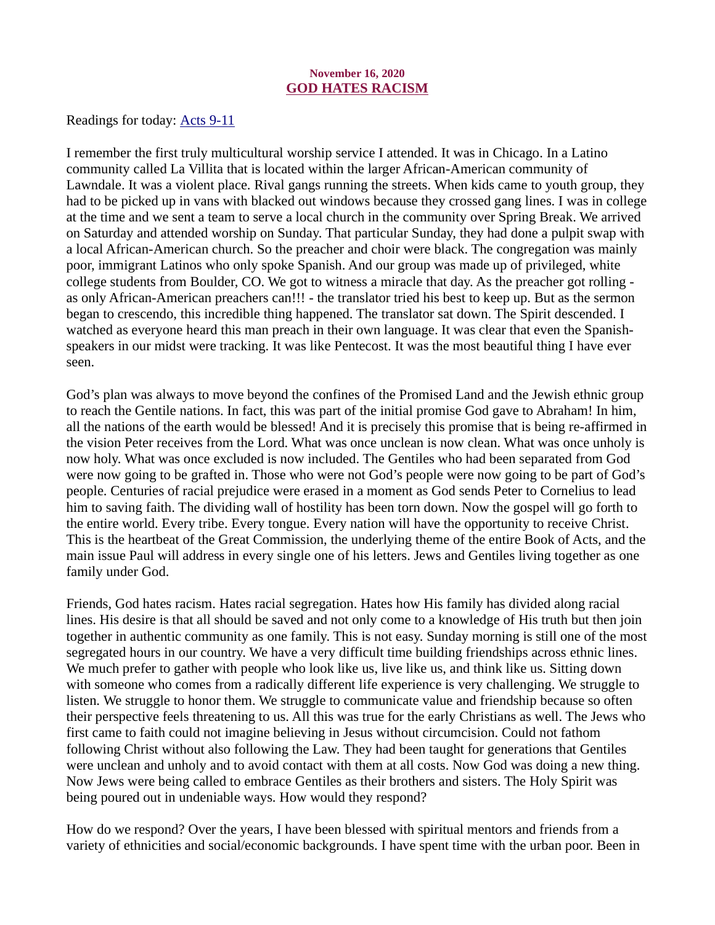## November 16, 2020 GOD HATES RACISM

<span id="page-14-0"></span>[Readings for today: Acts 9-11](https://www.biblegateway.com/passage/?search=Acts+9-11&version=ESV)

I remember the first truly multicultural worship service I attended. It was in Chicago. In a Latino community called La Villita that is located within the larger African-American community of Lawndale. It was a violent place. Rival gangs running the streets. When kids came to youth group, they had to be picked up in vans with blacked out windows because they crossed gang lines. I was in college at the time and we sent a team to serve a local church in the community over Spring Break. We arrived on Saturday and attended worship on Sunday. That particular Sunday, they had done a pulpit swap with a local African-American church. So the preacher and choir were black. The congregation was mainly poor, immigrant Latinos who only spoke Spanish. And our group was made up of privileged, white college students from Boulder, CO. We got to witness a miracle that day. As the preacher got rolling as only African-American preachers can!!! - the translator tried his best to keep up. But as the sermon began to crescendo, this incredible thing happened. The translator sat down. The Spirit descended. I watched as everyone heard this man preach in their own language. It was clear that even the Spanishspeakers in our midst were tracking. It was like Pentecost. It was the most beautiful thing I have ever seen.

God's plan was always to move beyond the confines of the Promised Land and the Jewish ethnic group to reach the Gentile nations. In fact, this was part of the initial promise God gave to Abraham! In him, all the nations of the earth would be blessed! And it is precisely this promise that is being re-affirmed in the vision Peter receives from the Lord. What was once unclean is now clean. What was once unholy is now holy. What was once excluded is now included. The Gentiles who had been separated from God were now going to be grafted in. Those who were not God's people were now going to be part of God's people. Centuries of racial prejudice were erased in a moment as God sends Peter to Cornelius to lead him to saving faith. The dividing wall of hostility has been torn down. Now the gospel will go forth to the entire world. Every tribe. Every tongue. Every nation will have the opportunity to receive Christ. This is the heartbeat of the Great Commission, the underlying theme of the entire Book of Acts, and the main issue Paul will address in every single one of his letters. Jews and Gentiles living together as one family under God.

Friends, God hates racism. Hates racial segregation. Hates how His family has divided along racial lines. His desire is that all should be saved and not only come to a knowledge of His truth but then join together in authentic community as one family. This is not easy. Sunday morning is still one of the most segregated hours in our country. We have a very difficult time building friendships across ethnic lines. We much prefer to gather with people who look like us, live like us, and think like us. Sitting down with someone who comes from a radically different life experience is very challenging. We struggle to listen. We struggle to honor them. We struggle to communicate value and friendship because so often their perspective feels threatening to us. All this was true for the early Christians as well. The Jews who first came to faith could not imagine believing in Jesus without circumcision. Could not fathom following Christ without also following the Law. They had been taught for generations that Gentiles were unclean and unholy and to avoid contact with them at all costs. Now God was doing a new thing. Now Jews were being called to embrace Gentiles as their brothers and sisters. The Holy Spirit was being poured out in undeniable ways. How would they respond?

How do we respond? Over the years, I have been blessed with spiritual mentors and friends from a variety of ethnicities and social/economic backgrounds. I have spent time with the urban poor. Been in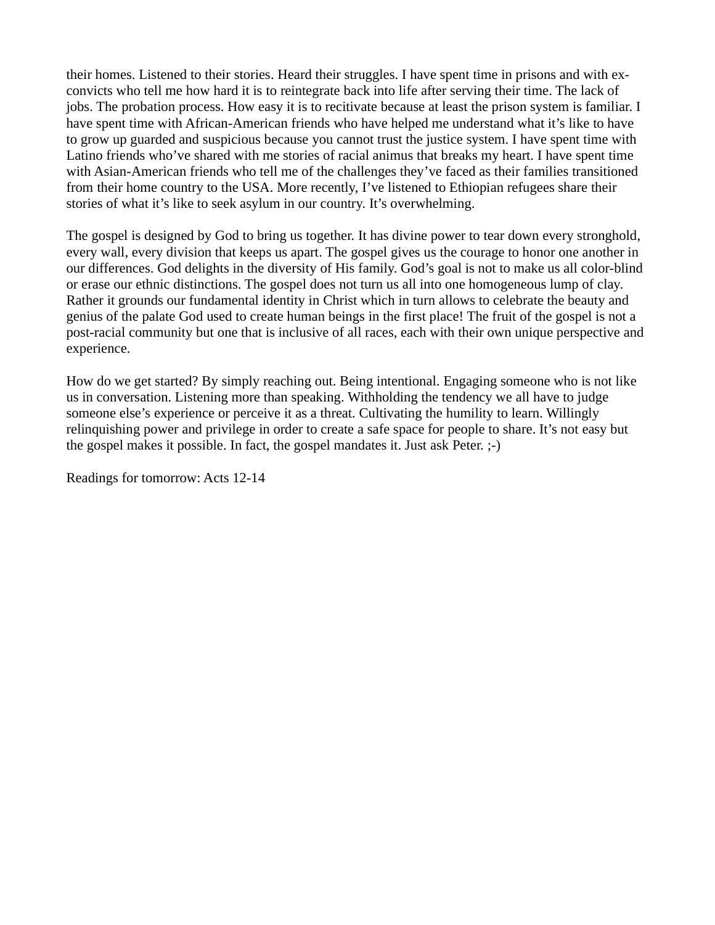their homes. Listened to their stories. Heard their struggles. I have spent time in prisons and with exconvicts who tell me how hard it is to reintegrate back into life after serving their time. The lack of jobs. The probation process. How easy it is to recitivate because at least the prison system is familiar. I have spent time with African-American friends who have helped me understand what it's like to have to grow up guarded and suspicious because you cannot trust the justice system. I have spent time with Latino friends who've shared with me stories of racial animus that breaks my heart. I have spent time with Asian-American friends who tell me of the challenges they've faced as their families transitioned from their home country to the USA. More recently, I've listened to Ethiopian refugees share their stories of what it's like to seek asylum in our country. It's overwhelming.

The gospel is designed by God to bring us together. It has divine power to tear down every stronghold, every wall, every division that keeps us apart. The gospel gives us the courage to honor one another in our differences. God delights in the diversity of His family. God's goal is not to make us all color-blind or erase our ethnic distinctions. The gospel does not turn us all into one homogeneous lump of clay. Rather it grounds our fundamental identity in Christ which in turn allows to celebrate the beauty and genius of the palate God used to create human beings in the first place! The fruit of the gospel is not a post-racial community but one that is inclusive of all races, each with their own unique perspective and experience.

How do we get started? By simply reaching out. Being intentional. Engaging someone who is not like us in conversation. Listening more than speaking. Withholding the tendency we all have to judge someone else's experience or perceive it as a threat. Cultivating the humility to learn. Willingly relinquishing power and privilege in order to create a safe space for people to share. It's not easy but the gospel makes it possible. In fact, the gospel mandates it. Just ask Peter. ;-)

Readings for tomorrow: Acts 12-14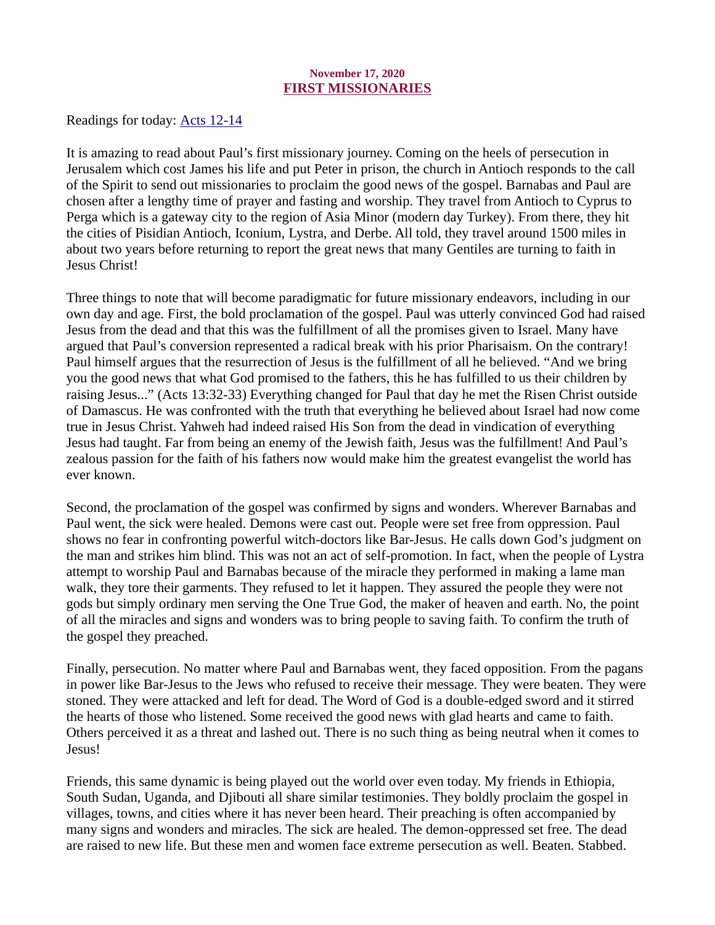#### November 17, 2020 FIRST MISSIONARIES

<span id="page-16-0"></span>Readings for today: **Acts 12-14** 

It is amazing to read about Paul's first missionary journey. Coming on the heels of persecution in Jerusalem which cost James his life and put Peter in prison, the church in Antioch responds to the call of the Spirit to send out missionaries to proclaim the good news of the gospel. Barnabas and Paul are chosen after a lengthy time of prayer and fasting and worship. They travel from Antioch to Cyprus to Perga which is a gateway city to the region of Asia Minor (modern day Turkey). From there, they hit the cities of Pisidian Antioch, Iconium, Lystra, and Derbe. All told, they travel around 1500 miles in about two years before returning to report the great news that many Gentiles are turning to faith in Jesus Christ!

Three things to note that will become paradigmatic for future missionary endeavors, including in our own day and age. First, the bold proclamation of the gospel. Paul was utterly convinced God had raised Jesus from the dead and that this was the fulfillment of all the promises given to Israel. Many have argued that Paul's conversion represented a radical break with his prior Pharisaism. On the contrary! Paul himself argues that the resurrection of Jesus is the fulfillment of all he believed. "And we bring you the good news that what God promised to the fathers, this he has fulfilled to us their children by raising Jesus..." (Acts 13:32-33) Everything changed for Paul that day he met the Risen Christ outside of Damascus. He was confronted with the truth that everything he believed about Israel had now come true in Jesus Christ. Yahweh had indeed raised His Son from the dead in vindication of everything Jesus had taught. Far from being an enemy of the Jewish faith, Jesus was the fulfillment! And Paul's zealous passion for the faith of his fathers now would make him the greatest evangelist the world has ever known.

Second, the proclamation of the gospel was confirmed by signs and wonders. Wherever Barnabas and Paul went, the sick were healed. Demons were cast out. People were set free from oppression. Paul shows no fear in confronting powerful witch-doctors like Bar-Jesus. He calls down God's judgment on the man and strikes him blind. This was not an act of self-promotion. In fact, when the people of Lystra attempt to worship Paul and Barnabas because of the miracle they performed in making a lame man walk, they tore their garments. They refused to let it happen. They assured the people they were not gods but simply ordinary men serving the One True God, the maker of heaven and earth. No, the point of all the miracles and signs and wonders was to bring people to saving faith. To confirm the truth of the gospel they preached.

Finally, persecution. No matter where Paul and Barnabas went, they faced opposition. From the pagans in power like Bar-Jesus to the Jews who refused to receive their message. They were beaten. They were stoned. They were attacked and left for dead. The Word of God is a double-edged sword and it stirred the hearts of those who listened. Some received the good news with glad hearts and came to faith. Others perceived it as a threat and lashed out. There is no such thing as being neutral when it comes to Jesus!

Friends, this same dynamic is being played out the world over even today. My friends in Ethiopia, South Sudan, Uganda, and Djibouti all share similar testimonies. They boldly proclaim the gospel in villages, towns, and cities where it has never been heard. Their preaching is often accompanied by many signs and wonders and miracles. The sick are healed. The demon-oppressed set free. The dead are raised to new life. But these men and women face extreme persecution as well. Beaten. Stabbed.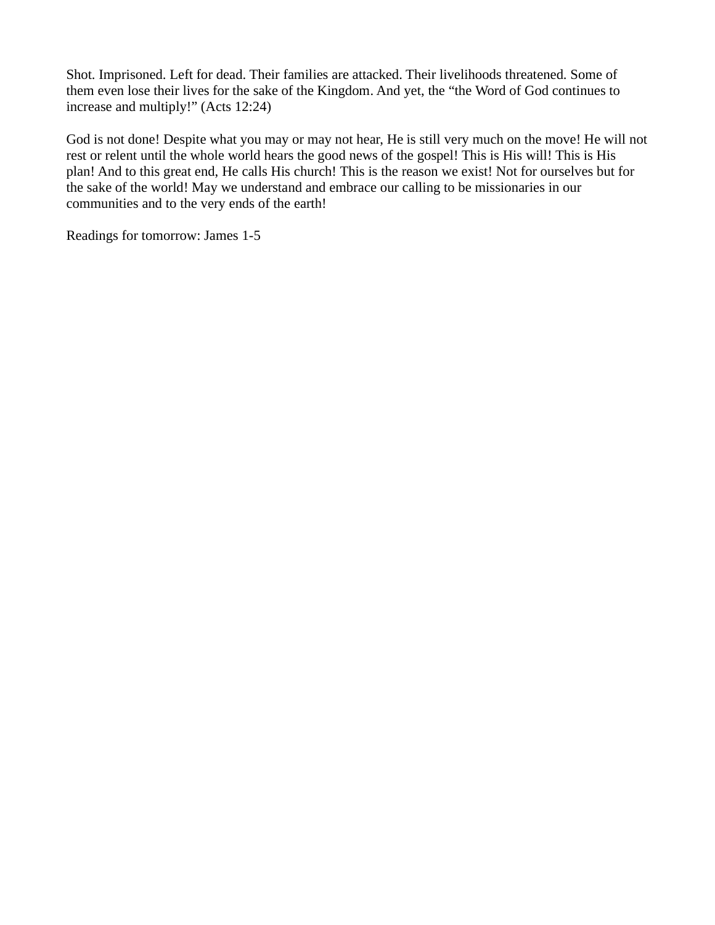Shot. Imprisoned. Left for dead. Their families are attacked. Their livelihoods threatened. Some of them even lose their lives for the sake of the Kingdom. And yet, the "the Word of God continues to increase and multiply!" (Acts 12:24)

God is not done! Despite what you may or may not hear, He is still very much on the move! He will not rest or relent until the whole world hears the good news of the gospel! This is His will! This is His plan! And to this great end, He calls His church! This is the reason we exist! Not for ourselves but for the sake of the world! May we understand and embrace our calling to be missionaries in our communities and to the very ends of the earth!

Readings for tomorrow: James 1-5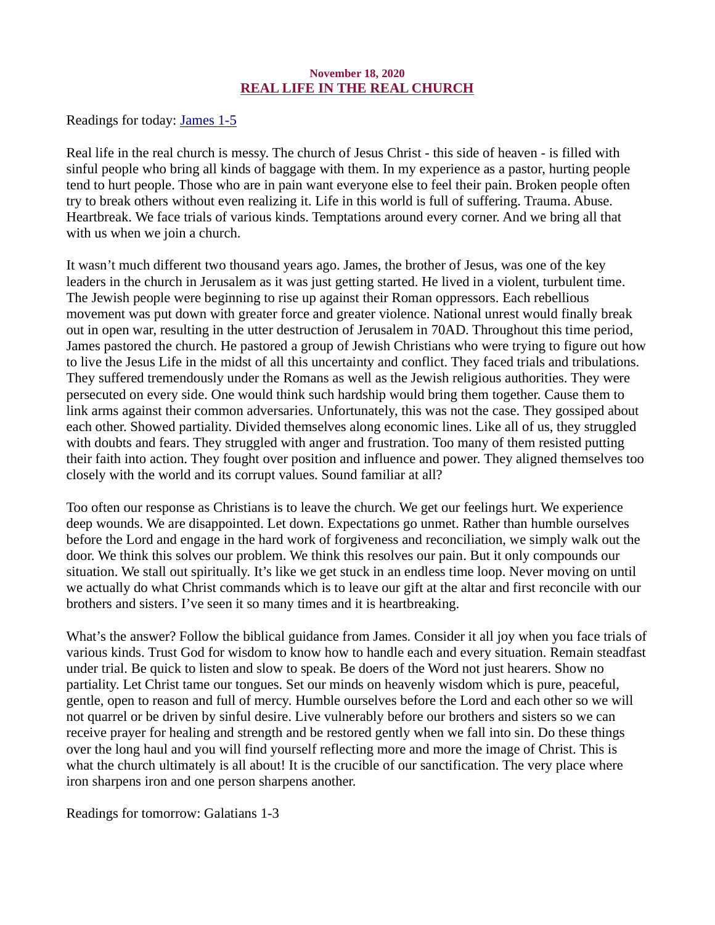# November 18, 2020 REAL LIFE IN THE REAL CHURCH

<span id="page-18-0"></span>[Readings for today: James 1-5](https://www.biblegateway.com/passage/?search=James+1-5&version=ESV)

Real life in the real church is messy. The church of Jesus Christ - this side of heaven - is filled with sinful people who bring all kinds of baggage with them. In my experience as a pastor, hurting people tend to hurt people. Those who are in pain want everyone else to feel their pain. Broken people often try to break others without even realizing it. Life in this world is full of suffering. Trauma. Abuse. Heartbreak. We face trials of various kinds. Temptations around every corner. And we bring all that with us when we join a church.

It wasn't much different two thousand years ago. James, the brother of Jesus, was one of the key leaders in the church in Jerusalem as it was just getting started. He lived in a violent, turbulent time. The Jewish people were beginning to rise up against their Roman oppressors. Each rebellious movement was put down with greater force and greater violence. National unrest would finally break out in open war, resulting in the utter destruction of Jerusalem in 70AD. Throughout this time period, James pastored the church. He pastored a group of Jewish Christians who were trying to figure out how to live the Jesus Life in the midst of all this uncertainty and conflict. They faced trials and tribulations. They suffered tremendously under the Romans as well as the Jewish religious authorities. They were persecuted on every side. One would think such hardship would bring them together. Cause them to link arms against their common adversaries. Unfortunately, this was not the case. They gossiped about each other. Showed partiality. Divided themselves along economic lines. Like all of us, they struggled with doubts and fears. They struggled with anger and frustration. Too many of them resisted putting their faith into action. They fought over position and influence and power. They aligned themselves too closely with the world and its corrupt values. Sound familiar at all?

Too often our response as Christians is to leave the church. We get our feelings hurt. We experience deep wounds. We are disappointed. Let down. Expectations go unmet. Rather than humble ourselves before the Lord and engage in the hard work of forgiveness and reconciliation, we simply walk out the door. We think this solves our problem. We think this resolves our pain. But it only compounds our situation. We stall out spiritually. It's like we get stuck in an endless time loop. Never moving on until we actually do what Christ commands which is to leave our gift at the altar and first reconcile with our brothers and sisters. I've seen it so many times and it is heartbreaking.

What's the answer? Follow the biblical guidance from James. Consider it all joy when you face trials of various kinds. Trust God for wisdom to know how to handle each and every situation. Remain steadfast under trial. Be quick to listen and slow to speak. Be doers of the Word not just hearers. Show no partiality. Let Christ tame our tongues. Set our minds on heavenly wisdom which is pure, peaceful, gentle, open to reason and full of mercy. Humble ourselves before the Lord and each other so we will not quarrel or be driven by sinful desire. Live vulnerably before our brothers and sisters so we can receive prayer for healing and strength and be restored gently when we fall into sin. Do these things over the long haul and you will find yourself reflecting more and more the image of Christ. This is what the church ultimately is all about! It is the crucible of our sanctification. The very place where iron sharpens iron and one person sharpens another.

Readings for tomorrow: Galatians 1-3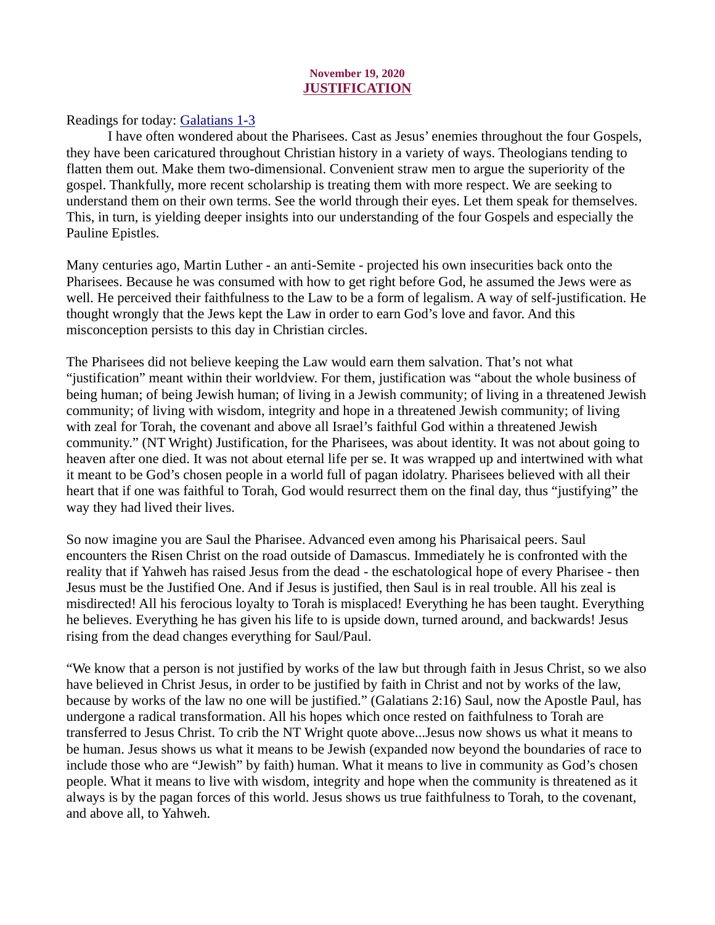## November 19, 2020 JUSTIFICATION

# <span id="page-19-0"></span>[Readings for today: Galatians 1-3](https://www.biblegateway.com/passage/?search=Galatians+1-3&version=ESV)

I have often wondered about the Pharisees. Cast as Jesus' enemies throughout the four Gospels, they have been caricatured throughout Christian history in a variety of ways. Theologians tending to flatten them out. Make them two-dimensional. Convenient straw men to argue the superiority of the gospel. Thankfully, more recent scholarship is treating them with more respect. We are seeking to understand them on their own terms. See the world through their eyes. Let them speak for themselves. This, in turn, is yielding deeper insights into our understanding of the four Gospels and especially the Pauline Epistles.

Many centuries ago, Martin Luther - an anti-Semite - projected his own insecurities back onto the Pharisees. Because he was consumed with how to get right before God, he assumed the Jews were as well. He perceived their faithfulness to the Law to be a form of legalism. A way of self-justification. He thought wrongly that the Jews kept the Law in order to earn God's love and favor. And this misconception persists to this day in Christian circles.

The Pharisees did not believe keeping the Law would earn them salvation. That's not what "justification" meant within their worldview. For them, justification was "about the whole business of being human; of being Jewish human; of living in a Jewish community; of living in a threatened Jewish community; of living with wisdom, integrity and hope in a threatened Jewish community; of living with zeal for Torah, the covenant and above all Israel's faithful God within a threatened Jewish community." (NT Wright) Justification, for the Pharisees, was about identity. It was not about going to heaven after one died. It was not about eternal life per se. It was wrapped up and intertwined with what it meant to be God's chosen people in a world full of pagan idolatry. Pharisees believed with all their heart that if one was faithful to Torah, God would resurrect them on the final day, thus "justifying" the way they had lived their lives.

So now imagine you are Saul the Pharisee. Advanced even among his Pharisaical peers. Saul encounters the Risen Christ on the road outside of Damascus. Immediately he is confronted with the reality that if Yahweh has raised Jesus from the dead - the eschatological hope of every Pharisee - then Jesus must be the Justified One. And if Jesus is justified, then Saul is in real trouble. All his zeal is misdirected! All his ferocious loyalty to Torah is misplaced! Everything he has been taught. Everything he believes. Everything he has given his life to is upside down, turned around, and backwards! Jesus rising from the dead changes everything for Saul/Paul.

"We know that a person is not justified by works of the law but through faith in Jesus Christ, so we also have believed in Christ Jesus, in order to be justified by faith in Christ and not by works of the law, because by works of the law no one will be justified." (Galatians 2:16) Saul, now the Apostle Paul, has undergone a radical transformation. All his hopes which once rested on faithfulness to Torah are transferred to Jesus Christ. To crib the NT Wright quote above...Jesus now shows us what it means to be human. Jesus shows us what it means to be Jewish (expanded now beyond the boundaries of race to include those who are "Jewish" by faith) human. What it means to live in community as God's chosen people. What it means to live with wisdom, integrity and hope when the community is threatened as it always is by the pagan forces of this world. Jesus shows us true faithfulness to Torah, to the covenant, and above all, to Yahweh.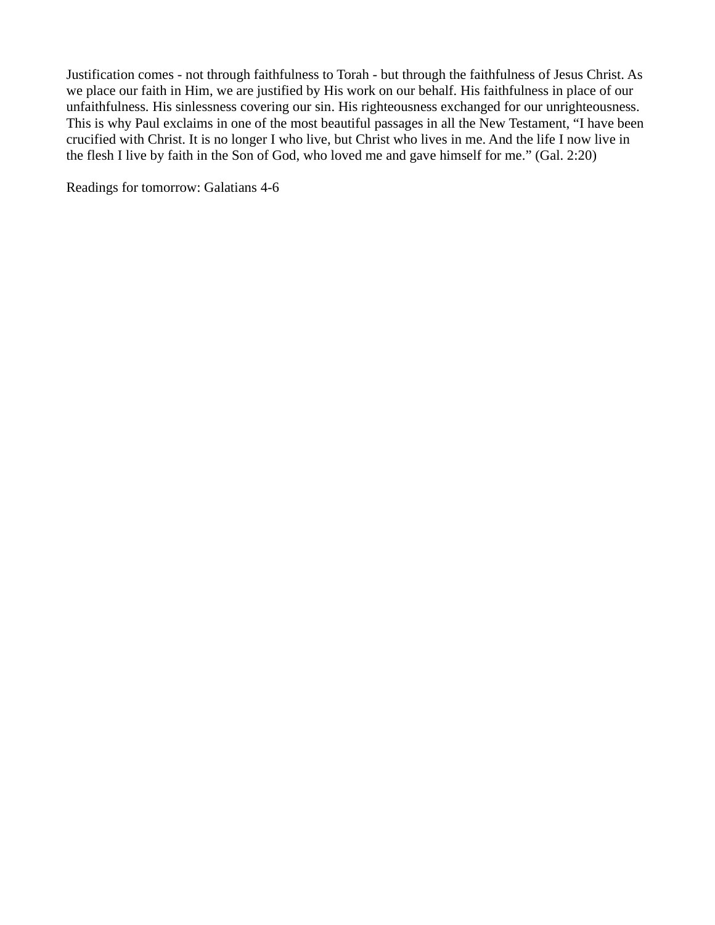Justification comes - not through faithfulness to Torah - but through the faithfulness of Jesus Christ. As we place our faith in Him, we are justified by His work on our behalf. His faithfulness in place of our unfaithfulness. His sinlessness covering our sin. His righteousness exchanged for our unrighteousness. This is why Paul exclaims in one of the most beautiful passages in all the New Testament, "I have been crucified with Christ. It is no longer I who live, but Christ who lives in me. And the life I now live in the flesh I live by faith in the Son of God, who loved me and gave himself for me." (Gal. 2:20)

Readings for tomorrow: Galatians 4-6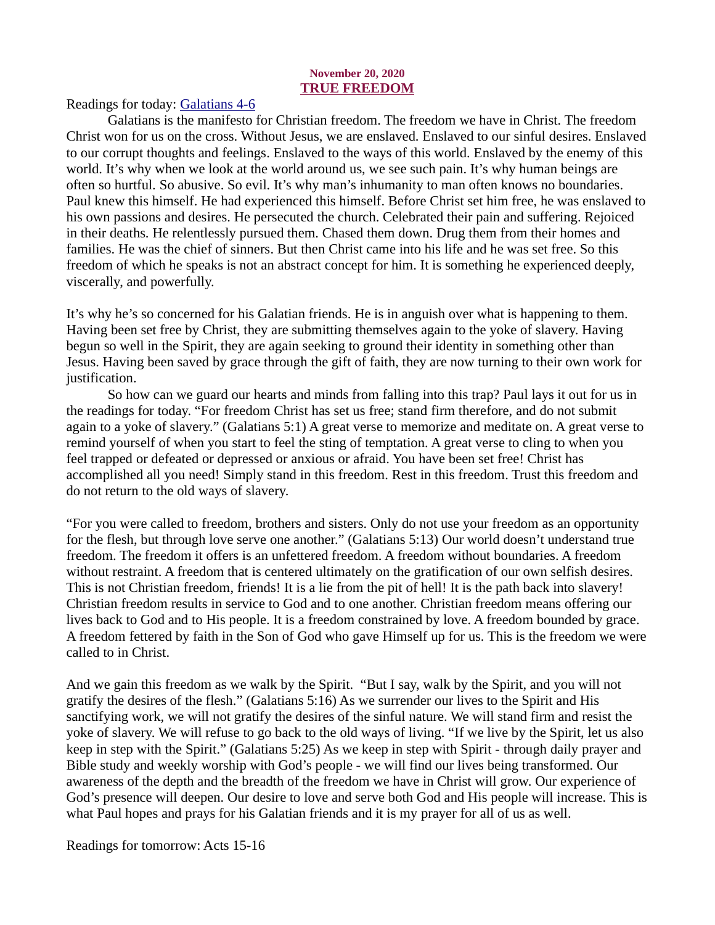#### November 20, 2020 TRUE FREEDOM

<span id="page-21-0"></span>[Readings for today: Galatians 4-6](https://www.biblegateway.com/passage/?search=Galatians+4-6&version=ESV)

Galatians is the manifesto for Christian freedom. The freedom we have in Christ. The freedom Christ won for us on the cross. Without Jesus, we are enslaved. Enslaved to our sinful desires. Enslaved to our corrupt thoughts and feelings. Enslaved to the ways of this world. Enslaved by the enemy of this world. It's why when we look at the world around us, we see such pain. It's why human beings are often so hurtful. So abusive. So evil. It's why man's inhumanity to man often knows no boundaries. Paul knew this himself. He had experienced this himself. Before Christ set him free, he was enslaved to his own passions and desires. He persecuted the church. Celebrated their pain and suffering. Rejoiced in their deaths. He relentlessly pursued them. Chased them down. Drug them from their homes and families. He was the chief of sinners. But then Christ came into his life and he was set free. So this freedom of which he speaks is not an abstract concept for him. It is something he experienced deeply, viscerally, and powerfully.

It's why he's so concerned for his Galatian friends. He is in anguish over what is happening to them. Having been set free by Christ, they are submitting themselves again to the yoke of slavery. Having begun so well in the Spirit, they are again seeking to ground their identity in something other than Jesus. Having been saved by grace through the gift of faith, they are now turning to their own work for justification.

So how can we guard our hearts and minds from falling into this trap? Paul lays it out for us in the readings for today. "For freedom Christ has set us free; stand firm therefore, and do not submit again to a yoke of slavery." (Galatians 5:1) A great verse to memorize and meditate on. A great verse to remind yourself of when you start to feel the sting of temptation. A great verse to cling to when you feel trapped or defeated or depressed or anxious or afraid. You have been set free! Christ has accomplished all you need! Simply stand in this freedom. Rest in this freedom. Trust this freedom and do not return to the old ways of slavery.

"For you were called to freedom, brothers and sisters. Only do not use your freedom as an opportunity for the flesh, but through love serve one another." (Galatians 5:13) Our world doesn't understand true freedom. The freedom it offers is an unfettered freedom. A freedom without boundaries. A freedom without restraint. A freedom that is centered ultimately on the gratification of our own selfish desires. This is not Christian freedom, friends! It is a lie from the pit of hell! It is the path back into slavery! Christian freedom results in service to God and to one another. Christian freedom means offering our lives back to God and to His people. It is a freedom constrained by love. A freedom bounded by grace. A freedom fettered by faith in the Son of God who gave Himself up for us. This is the freedom we were called to in Christ.

And we gain this freedom as we walk by the Spirit. "But I say, walk by the Spirit, and you will not gratify the desires of the flesh." (Galatians 5:16) As we surrender our lives to the Spirit and His sanctifying work, we will not gratify the desires of the sinful nature. We will stand firm and resist the yoke of slavery. We will refuse to go back to the old ways of living. "If we live by the Spirit, let us also keep in step with the Spirit." (Galatians 5:25) As we keep in step with Spirit - through daily prayer and Bible study and weekly worship with God's people - we will find our lives being transformed. Our awareness of the depth and the breadth of the freedom we have in Christ will grow. Our experience of God's presence will deepen. Our desire to love and serve both God and His people will increase. This is what Paul hopes and prays for his Galatian friends and it is my prayer for all of us as well.

Readings for tomorrow: Acts 15-16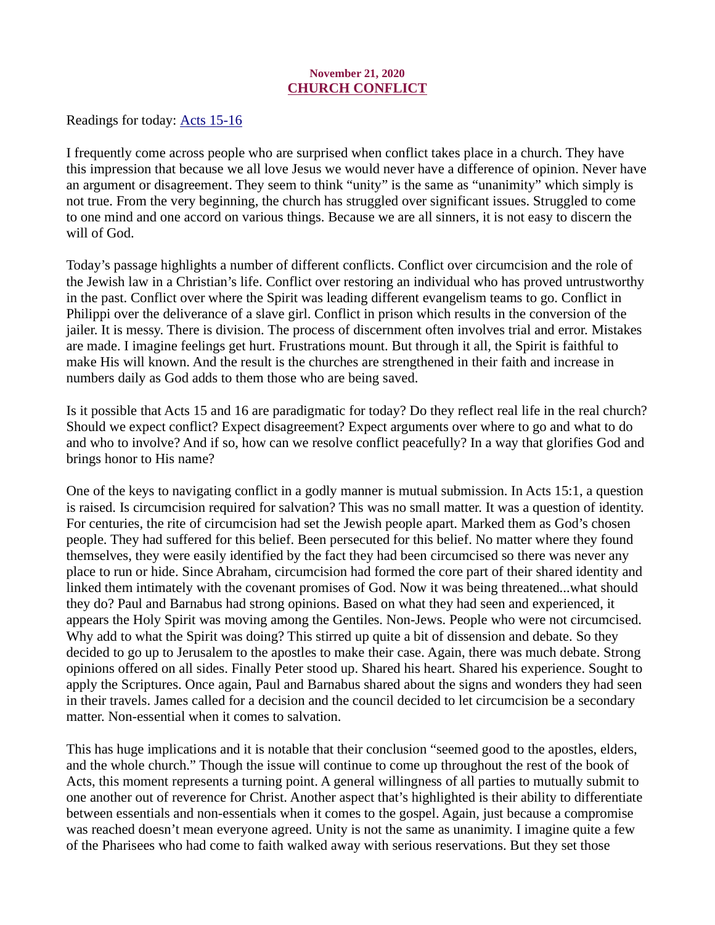# November 21, 2020 CHURCH CONFLICT

<span id="page-22-0"></span>[Readings for today: Acts 15-16](https://www.biblegateway.com/passage/?search=Acts+15-16&version=ESV)

I frequently come across people who are surprised when conflict takes place in a church. They have this impression that because we all love Jesus we would never have a difference of opinion. Never have an argument or disagreement. They seem to think "unity" is the same as "unanimity" which simply is not true. From the very beginning, the church has struggled over significant issues. Struggled to come to one mind and one accord on various things. Because we are all sinners, it is not easy to discern the will of God.

Today's passage highlights a number of different conflicts. Conflict over circumcision and the role of the Jewish law in a Christian's life. Conflict over restoring an individual who has proved untrustworthy in the past. Conflict over where the Spirit was leading different evangelism teams to go. Conflict in Philippi over the deliverance of a slave girl. Conflict in prison which results in the conversion of the jailer. It is messy. There is division. The process of discernment often involves trial and error. Mistakes are made. I imagine feelings get hurt. Frustrations mount. But through it all, the Spirit is faithful to make His will known. And the result is the churches are strengthened in their faith and increase in numbers daily as God adds to them those who are being saved.

Is it possible that Acts 15 and 16 are paradigmatic for today? Do they reflect real life in the real church? Should we expect conflict? Expect disagreement? Expect arguments over where to go and what to do and who to involve? And if so, how can we resolve conflict peacefully? In a way that glorifies God and brings honor to His name?

One of the keys to navigating conflict in a godly manner is mutual submission. In Acts 15:1, a question is raised. Is circumcision required for salvation? This was no small matter. It was a question of identity. For centuries, the rite of circumcision had set the Jewish people apart. Marked them as God's chosen people. They had suffered for this belief. Been persecuted for this belief. No matter where they found themselves, they were easily identified by the fact they had been circumcised so there was never any place to run or hide. Since Abraham, circumcision had formed the core part of their shared identity and linked them intimately with the covenant promises of God. Now it was being threatened...what should they do? Paul and Barnabus had strong opinions. Based on what they had seen and experienced, it appears the Holy Spirit was moving among the Gentiles. Non-Jews. People who were not circumcised. Why add to what the Spirit was doing? This stirred up quite a bit of dissension and debate. So they decided to go up to Jerusalem to the apostles to make their case. Again, there was much debate. Strong opinions offered on all sides. Finally Peter stood up. Shared his heart. Shared his experience. Sought to apply the Scriptures. Once again, Paul and Barnabus shared about the signs and wonders they had seen in their travels. James called for a decision and the council decided to let circumcision be a secondary matter. Non-essential when it comes to salvation.

This has huge implications and it is notable that their conclusion "seemed good to the apostles, elders, and the whole church." Though the issue will continue to come up throughout the rest of the book of Acts, this moment represents a turning point. A general willingness of all parties to mutually submit to one another out of reverence for Christ. Another aspect that's highlighted is their ability to differentiate between essentials and non-essentials when it comes to the gospel. Again, just because a compromise was reached doesn't mean everyone agreed. Unity is not the same as unanimity. I imagine quite a few of the Pharisees who had come to faith walked away with serious reservations. But they set those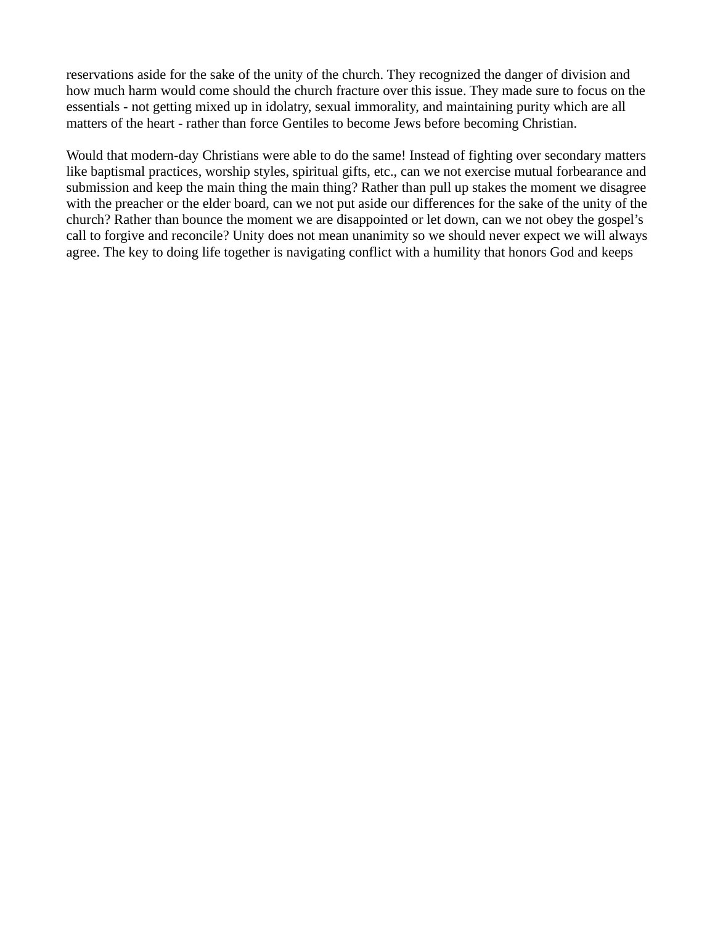reservations aside for the sake of the unity of the church. They recognized the danger of division and how much harm would come should the church fracture over this issue. They made sure to focus on the essentials - not getting mixed up in idolatry, sexual immorality, and maintaining purity which are all matters of the heart - rather than force Gentiles to become Jews before becoming Christian.

Would that modern-day Christians were able to do the same! Instead of fighting over secondary matters like baptismal practices, worship styles, spiritual gifts, etc., can we not exercise mutual forbearance and submission and keep the main thing the main thing? Rather than pull up stakes the moment we disagree with the preacher or the elder board, can we not put aside our differences for the sake of the unity of the church? Rather than bounce the moment we are disappointed or let down, can we not obey the gospel's call to forgive and reconcile? Unity does not mean unanimity so we should never expect we will always agree. The key to doing life together is navigating conflict with a humility that honors God and keeps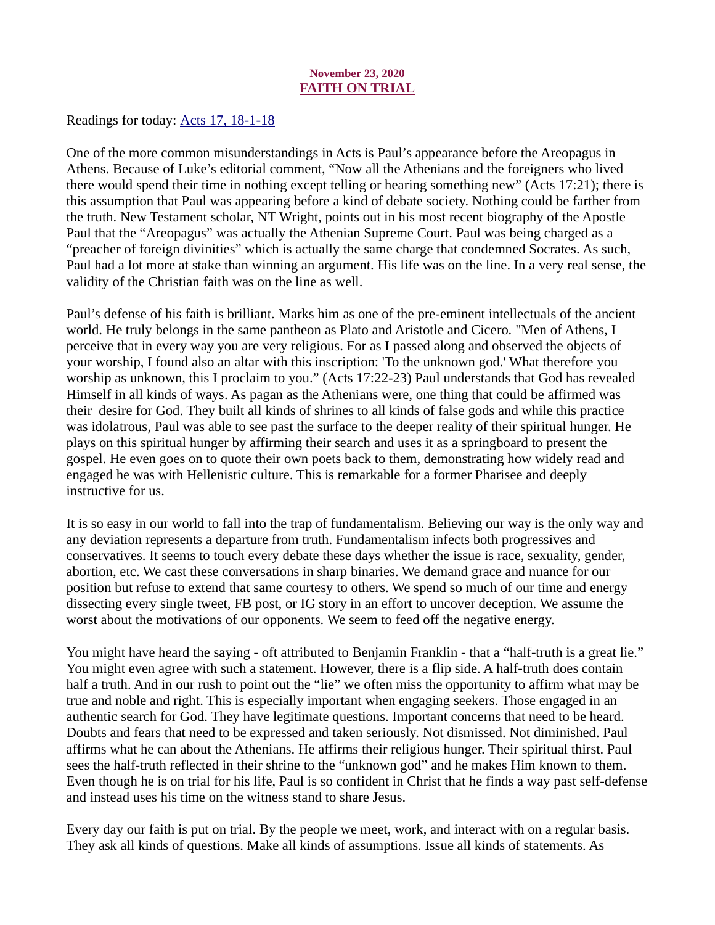# November 23, 2020 FAITH ON TRIAL

<span id="page-24-0"></span>[Readings for today: Acts 17, 18-1-18](https://www.biblegateway.com/passage/?search=Acts+17%2C+18-1-18&version=ESV)

One of the more common misunderstandings in Acts is Paul's appearance before the Areopagus in Athens. Because of Luke's editorial comment, "Now all the Athenians and the foreigners who lived there would spend their time in nothing except telling or hearing something new" (Acts 17:21); there is this assumption that Paul was appearing before a kind of debate society. Nothing could be farther from the truth. New Testament scholar, NT Wright, points out in his most recent biography of the Apostle Paul that the "Areopagus" was actually the Athenian Supreme Court. Paul was being charged as a "preacher of foreign divinities" which is actually the same charge that condemned Socrates. As such, Paul had a lot more at stake than winning an argument. His life was on the line. In a very real sense, the validity of the Christian faith was on the line as well.

Paul's defense of his faith is brilliant. Marks him as one of the pre-eminent intellectuals of the ancient world. He truly belongs in the same pantheon as Plato and Aristotle and Cicero. "Men of Athens, I perceive that in every way you are very religious. For as I passed along and observed the objects of your worship, I found also an altar with this inscription: 'To the unknown god.' What therefore you worship as unknown, this I proclaim to you." (Acts 17:22-23) Paul understands that God has revealed Himself in all kinds of ways. As pagan as the Athenians were, one thing that could be affirmed was their desire for God. They built all kinds of shrines to all kinds of false gods and while this practice was idolatrous, Paul was able to see past the surface to the deeper reality of their spiritual hunger. He plays on this spiritual hunger by affirming their search and uses it as a springboard to present the gospel. He even goes on to quote their own poets back to them, demonstrating how widely read and engaged he was with Hellenistic culture. This is remarkable for a former Pharisee and deeply instructive for us.

It is so easy in our world to fall into the trap of fundamentalism. Believing our way is the only way and any deviation represents a departure from truth. Fundamentalism infects both progressives and conservatives. It seems to touch every debate these days whether the issue is race, sexuality, gender, abortion, etc. We cast these conversations in sharp binaries. We demand grace and nuance for our position but refuse to extend that same courtesy to others. We spend so much of our time and energy dissecting every single tweet, FB post, or IG story in an effort to uncover deception. We assume the worst about the motivations of our opponents. We seem to feed off the negative energy.

You might have heard the saying - oft attributed to Benjamin Franklin - that a "half-truth is a great lie." You might even agree with such a statement. However, there is a flip side. A half-truth does contain half a truth. And in our rush to point out the "lie" we often miss the opportunity to affirm what may be true and noble and right. This is especially important when engaging seekers. Those engaged in an authentic search for God. They have legitimate questions. Important concerns that need to be heard. Doubts and fears that need to be expressed and taken seriously. Not dismissed. Not diminished. Paul affirms what he can about the Athenians. He affirms their religious hunger. Their spiritual thirst. Paul sees the half-truth reflected in their shrine to the "unknown god" and he makes Him known to them. Even though he is on trial for his life, Paul is so confident in Christ that he finds a way past self-defense and instead uses his time on the witness stand to share Jesus.

Every day our faith is put on trial. By the people we meet, work, and interact with on a regular basis. They ask all kinds of questions. Make all kinds of assumptions. Issue all kinds of statements. As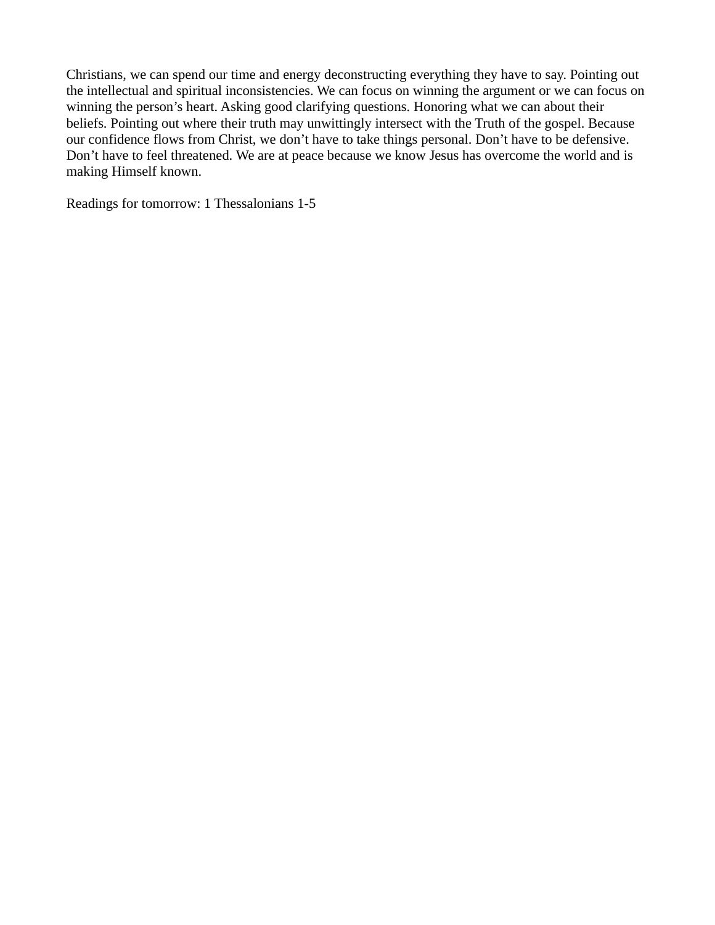Christians, we can spend our time and energy deconstructing everything they have to say. Pointing out the intellectual and spiritual inconsistencies. We can focus on winning the argument or we can focus on winning the person's heart. Asking good clarifying questions. Honoring what we can about their beliefs. Pointing out where their truth may unwittingly intersect with the Truth of the gospel. Because our confidence flows from Christ, we don't have to take things personal. Don't have to be defensive. Don't have to feel threatened. We are at peace because we know Jesus has overcome the world and is making Himself known.

Readings for tomorrow: 1 Thessalonians 1-5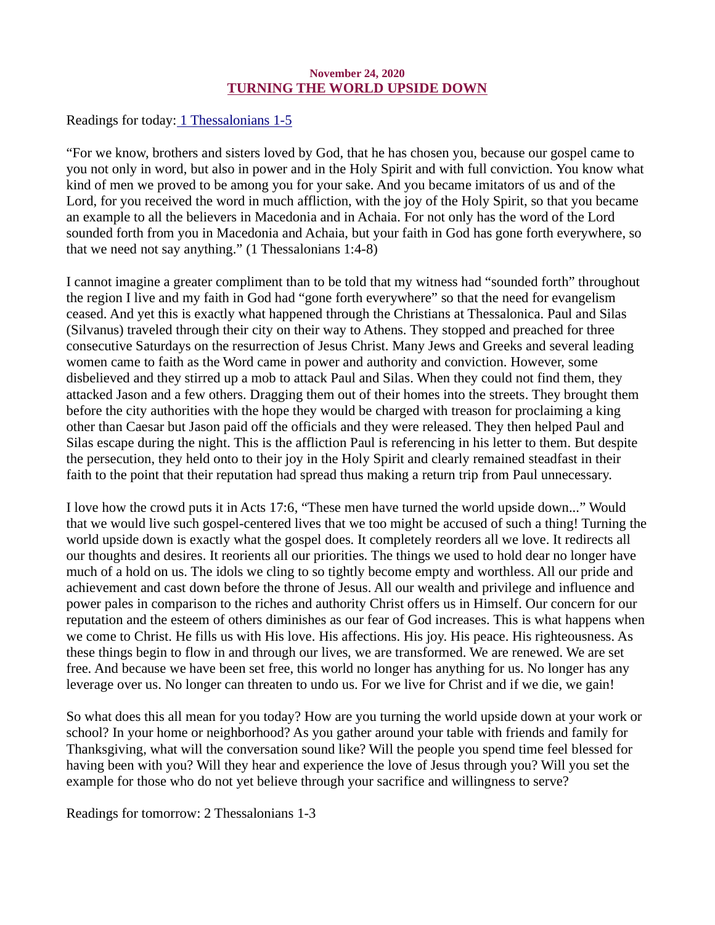## November 24, 2020 TURNING THE WORLD UPSIDE DOWN

<span id="page-26-0"></span>[Readings for today: 1 Thessalonians 1-5](https://www.biblegateway.com/passage/?search=+1+Thessalonians+1-5&version=ESV)

"For we know, brothers and sisters loved by God, that he has chosen you, because our gospel came to you not only in word, but also in power and in the Holy Spirit and with full conviction. You know what kind of men we proved to be among you for your sake. And you became imitators of us and of the Lord, for you received the word in much affliction, with the joy of the Holy Spirit, so that you became an example to all the believers in Macedonia and in Achaia. For not only has the word of the Lord sounded forth from you in Macedonia and Achaia, but your faith in God has gone forth everywhere, so that we need not say anything." (1 Thessalonians 1:4-8)

I cannot imagine a greater compliment than to be told that my witness had "sounded forth" throughout the region I live and my faith in God had "gone forth everywhere" so that the need for evangelism ceased. And yet this is exactly what happened through the Christians at Thessalonica. Paul and Silas (Silvanus) traveled through their city on their way to Athens. They stopped and preached for three consecutive Saturdays on the resurrection of Jesus Christ. Many Jews and Greeks and several leading women came to faith as the Word came in power and authority and conviction. However, some disbelieved and they stirred up a mob to attack Paul and Silas. When they could not find them, they attacked Jason and a few others. Dragging them out of their homes into the streets. They brought them before the city authorities with the hope they would be charged with treason for proclaiming a king other than Caesar but Jason paid off the officials and they were released. They then helped Paul and Silas escape during the night. This is the affliction Paul is referencing in his letter to them. But despite the persecution, they held onto to their joy in the Holy Spirit and clearly remained steadfast in their faith to the point that their reputation had spread thus making a return trip from Paul unnecessary.

I love how the crowd puts it in Acts 17:6, "These men have turned the world upside down..." Would that we would live such gospel-centered lives that we too might be accused of such a thing! Turning the world upside down is exactly what the gospel does. It completely reorders all we love. It redirects all our thoughts and desires. It reorients all our priorities. The things we used to hold dear no longer have much of a hold on us. The idols we cling to so tightly become empty and worthless. All our pride and achievement and cast down before the throne of Jesus. All our wealth and privilege and influence and power pales in comparison to the riches and authority Christ offers us in Himself. Our concern for our reputation and the esteem of others diminishes as our fear of God increases. This is what happens when we come to Christ. He fills us with His love. His affections. His joy. His peace. His righteousness. As these things begin to flow in and through our lives, we are transformed. We are renewed. We are set free. And because we have been set free, this world no longer has anything for us. No longer has any leverage over us. No longer can threaten to undo us. For we live for Christ and if we die, we gain!

So what does this all mean for you today? How are you turning the world upside down at your work or school? In your home or neighborhood? As you gather around your table with friends and family for Thanksgiving, what will the conversation sound like? Will the people you spend time feel blessed for having been with you? Will they hear and experience the love of Jesus through you? Will you set the example for those who do not yet believe through your sacrifice and willingness to serve?

Readings for tomorrow: 2 Thessalonians 1-3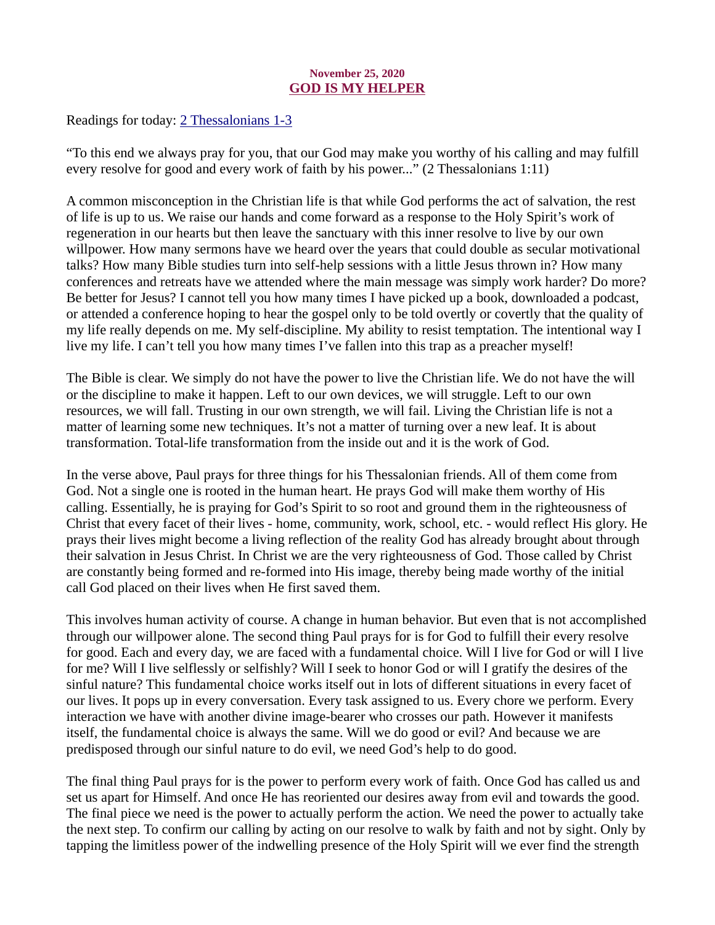# November 25, 2020 GOD IS MY HELPER

<span id="page-27-0"></span>[Readings for today: 2 Thessalonians 1-3](https://www.biblegateway.com/passage/?search=2+Thessalonians+1-3&version=ESV)

"To this end we always pray for you, that our God may make you worthy of his calling and may fulfill every resolve for good and every work of faith by his power..." (2 Thessalonians 1:11)

A common misconception in the Christian life is that while God performs the act of salvation, the rest of life is up to us. We raise our hands and come forward as a response to the Holy Spirit's work of regeneration in our hearts but then leave the sanctuary with this inner resolve to live by our own willpower. How many sermons have we heard over the years that could double as secular motivational talks? How many Bible studies turn into self-help sessions with a little Jesus thrown in? How many conferences and retreats have we attended where the main message was simply work harder? Do more? Be better for Jesus? I cannot tell you how many times I have picked up a book, downloaded a podcast, or attended a conference hoping to hear the gospel only to be told overtly or covertly that the quality of my life really depends on me. My self-discipline. My ability to resist temptation. The intentional way I live my life. I can't tell you how many times I've fallen into this trap as a preacher myself!

The Bible is clear. We simply do not have the power to live the Christian life. We do not have the will or the discipline to make it happen. Left to our own devices, we will struggle. Left to our own resources, we will fall. Trusting in our own strength, we will fail. Living the Christian life is not a matter of learning some new techniques. It's not a matter of turning over a new leaf. It is about transformation. Total-life transformation from the inside out and it is the work of God.

In the verse above, Paul prays for three things for his Thessalonian friends. All of them come from God. Not a single one is rooted in the human heart. He prays God will make them worthy of His calling. Essentially, he is praying for God's Spirit to so root and ground them in the righteousness of Christ that every facet of their lives - home, community, work, school, etc. - would reflect His glory. He prays their lives might become a living reflection of the reality God has already brought about through their salvation in Jesus Christ. In Christ we are the very righteousness of God. Those called by Christ are constantly being formed and re-formed into His image, thereby being made worthy of the initial call God placed on their lives when He first saved them.

This involves human activity of course. A change in human behavior. But even that is not accomplished through our willpower alone. The second thing Paul prays for is for God to fulfill their every resolve for good. Each and every day, we are faced with a fundamental choice. Will I live for God or will I live for me? Will I live selflessly or selfishly? Will I seek to honor God or will I gratify the desires of the sinful nature? This fundamental choice works itself out in lots of different situations in every facet of our lives. It pops up in every conversation. Every task assigned to us. Every chore we perform. Every interaction we have with another divine image-bearer who crosses our path. However it manifests itself, the fundamental choice is always the same. Will we do good or evil? And because we are predisposed through our sinful nature to do evil, we need God's help to do good.

The final thing Paul prays for is the power to perform every work of faith. Once God has called us and set us apart for Himself. And once He has reoriented our desires away from evil and towards the good. The final piece we need is the power to actually perform the action. We need the power to actually take the next step. To confirm our calling by acting on our resolve to walk by faith and not by sight. Only by tapping the limitless power of the indwelling presence of the Holy Spirit will we ever find the strength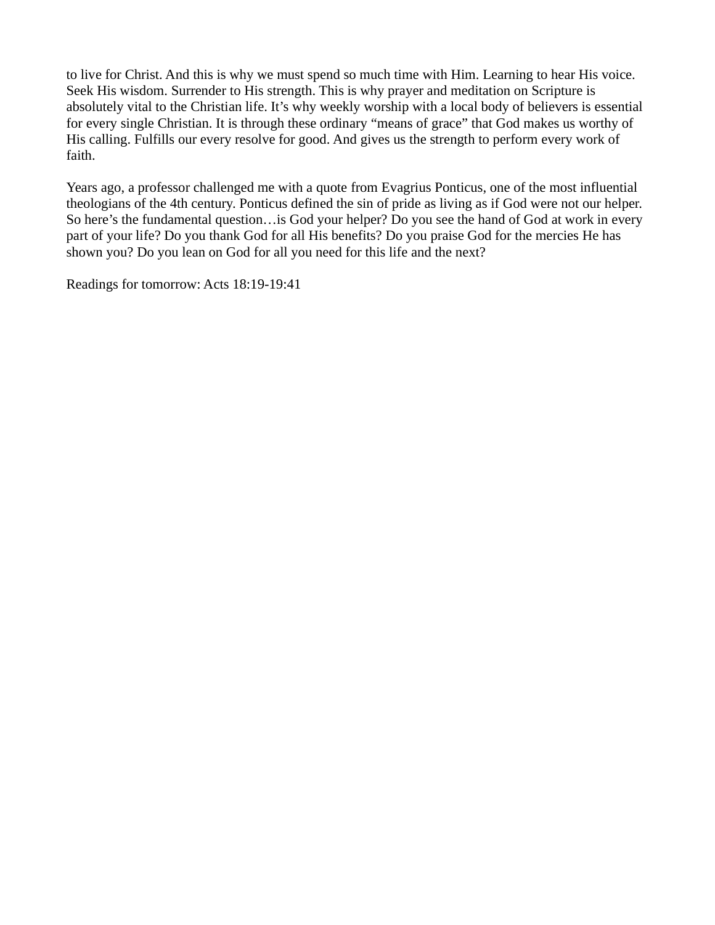to live for Christ. And this is why we must spend so much time with Him. Learning to hear His voice. Seek His wisdom. Surrender to His strength. This is why prayer and meditation on Scripture is absolutely vital to the Christian life. It's why weekly worship with a local body of believers is essential for every single Christian. It is through these ordinary "means of grace" that God makes us worthy of His calling. Fulfills our every resolve for good. And gives us the strength to perform every work of faith.

Years ago, a professor challenged me with a quote from Evagrius Ponticus, one of the most influential theologians of the 4th century. Ponticus defined the sin of pride as living as if God were not our helper. So here's the fundamental question…is God your helper? Do you see the hand of God at work in every part of your life? Do you thank God for all His benefits? Do you praise God for the mercies He has shown you? Do you lean on God for all you need for this life and the next?

Readings for tomorrow: Acts 18:19-19:41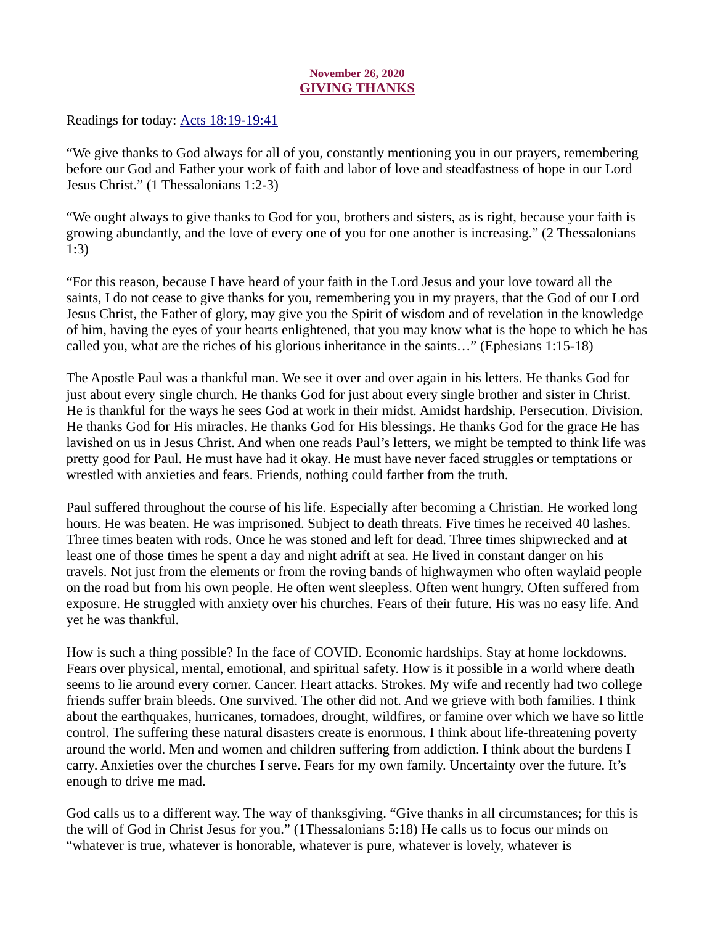# November 26, 2020 GIVING THANKS

<span id="page-29-0"></span>Readings for today: **Acts 18:19-19:41** 

"We give thanks to God always for all of you, constantly mentioning you in our prayers, remembering before our God and Father your work of faith and labor of love and steadfastness of hope in our Lord Jesus Christ." (1 Thessalonians 1:2-3)

"We ought always to give thanks to God for you, brothers and sisters, as is right, because your faith is growing abundantly, and the love of every one of you for one another is increasing." (2 Thessalonians 1:3)

"For this reason, because I have heard of your faith in the Lord Jesus and your love toward all the saints, I do not cease to give thanks for you, remembering you in my prayers, that the God of our Lord Jesus Christ, the Father of glory, may give you the Spirit of wisdom and of revelation in the knowledge of him, having the eyes of your hearts enlightened, that you may know what is the hope to which he has called you, what are the riches of his glorious inheritance in the saints…" (Ephesians 1:15-18)

The Apostle Paul was a thankful man. We see it over and over again in his letters. He thanks God for just about every single church. He thanks God for just about every single brother and sister in Christ. He is thankful for the ways he sees God at work in their midst. Amidst hardship. Persecution. Division. He thanks God for His miracles. He thanks God for His blessings. He thanks God for the grace He has lavished on us in Jesus Christ. And when one reads Paul's letters, we might be tempted to think life was pretty good for Paul. He must have had it okay. He must have never faced struggles or temptations or wrestled with anxieties and fears. Friends, nothing could farther from the truth.

Paul suffered throughout the course of his life. Especially after becoming a Christian. He worked long hours. He was beaten. He was imprisoned. Subject to death threats. Five times he received 40 lashes. Three times beaten with rods. Once he was stoned and left for dead. Three times shipwrecked and at least one of those times he spent a day and night adrift at sea. He lived in constant danger on his travels. Not just from the elements or from the roving bands of highwaymen who often waylaid people on the road but from his own people. He often went sleepless. Often went hungry. Often suffered from exposure. He struggled with anxiety over his churches. Fears of their future. His was no easy life. And yet he was thankful.

How is such a thing possible? In the face of COVID. Economic hardships. Stay at home lockdowns. Fears over physical, mental, emotional, and spiritual safety. How is it possible in a world where death seems to lie around every corner. Cancer. Heart attacks. Strokes. My wife and recently had two college friends suffer brain bleeds. One survived. The other did not. And we grieve with both families. I think about the earthquakes, hurricanes, tornadoes, drought, wildfires, or famine over which we have so little control. The suffering these natural disasters create is enormous. I think about life-threatening poverty around the world. Men and women and children suffering from addiction. I think about the burdens I carry. Anxieties over the churches I serve. Fears for my own family. Uncertainty over the future. It's enough to drive me mad.

God calls us to a different way. The way of thanksgiving. "Give thanks in all circumstances; for this is the will of God in Christ Jesus for you." (1Thessalonians 5:18) He calls us to focus our minds on "whatever is true, whatever is honorable, whatever is pure, whatever is lovely, whatever is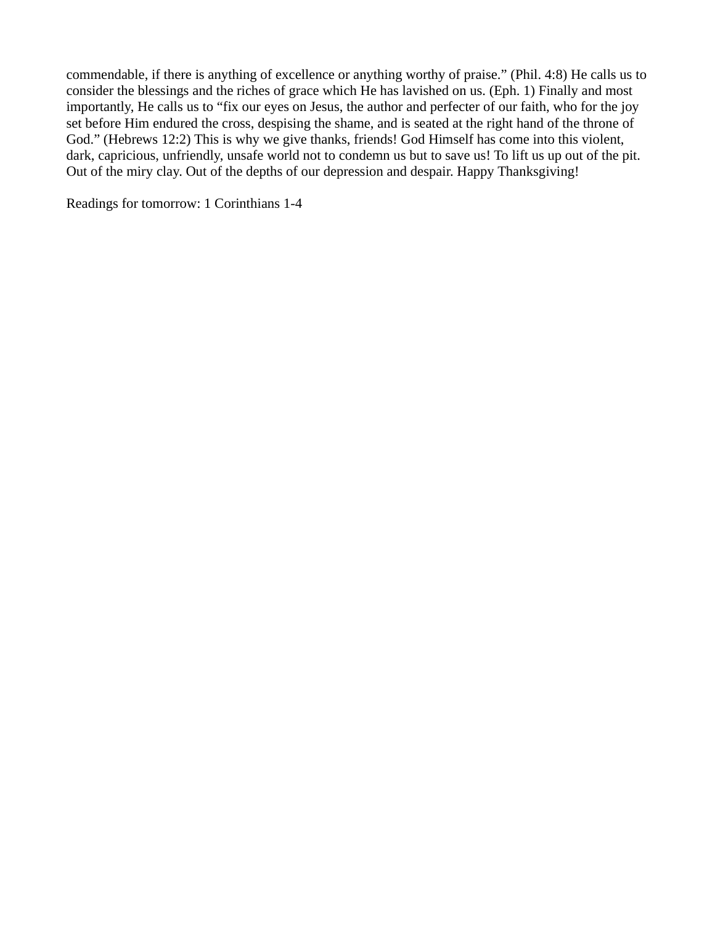commendable, if there is anything of excellence or anything worthy of praise." (Phil. 4:8) He calls us to consider the blessings and the riches of grace which He has lavished on us. (Eph. 1) Finally and most importantly, He calls us to "fix our eyes on Jesus, the author and perfecter of our faith, who for the joy set before Him endured the cross, despising the shame, and is seated at the right hand of the throne of God." (Hebrews 12:2) This is why we give thanks, friends! God Himself has come into this violent, dark, capricious, unfriendly, unsafe world not to condemn us but to save us! To lift us up out of the pit. Out of the miry clay. Out of the depths of our depression and despair. Happy Thanksgiving!

Readings for tomorrow: 1 Corinthians 1-4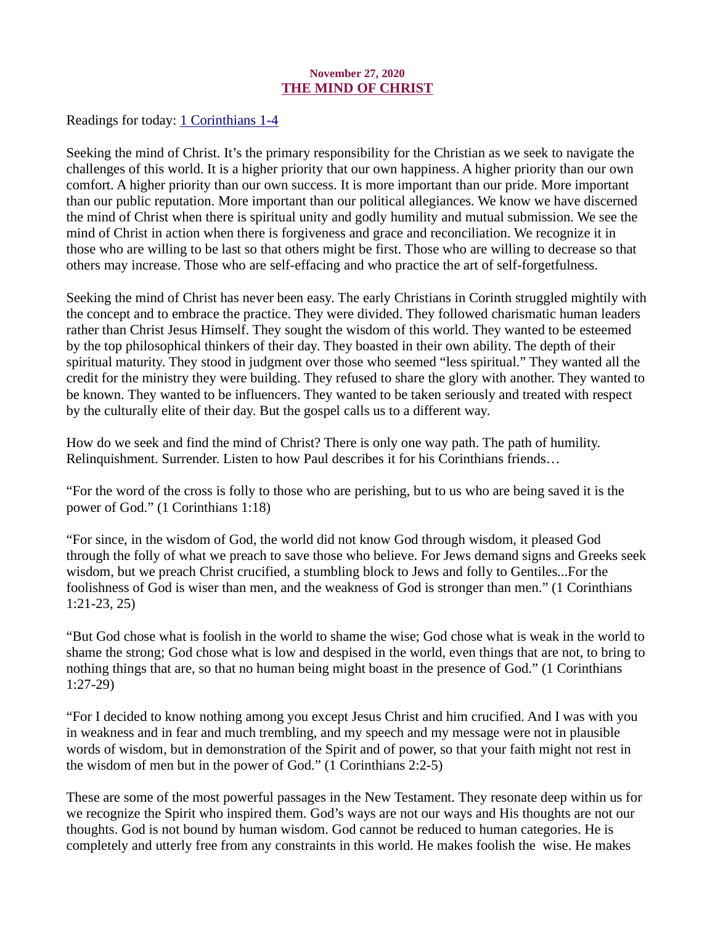# November 27, 2020 THE MIND OF CHRIST

<span id="page-31-0"></span>[Readings for today: 1 Corinthians 1-4](https://www.biblegateway.com/passage/?search=1+Corinthians+1-4&version=ESV)

Seeking the mind of Christ. It's the primary responsibility for the Christian as we seek to navigate the challenges of this world. It is a higher priority that our own happiness. A higher priority than our own comfort. A higher priority than our own success. It is more important than our pride. More important than our public reputation. More important than our political allegiances. We know we have discerned the mind of Christ when there is spiritual unity and godly humility and mutual submission. We see the mind of Christ in action when there is forgiveness and grace and reconciliation. We recognize it in those who are willing to be last so that others might be first. Those who are willing to decrease so that others may increase. Those who are self-effacing and who practice the art of self-forgetfulness.

Seeking the mind of Christ has never been easy. The early Christians in Corinth struggled mightily with the concept and to embrace the practice. They were divided. They followed charismatic human leaders rather than Christ Jesus Himself. They sought the wisdom of this world. They wanted to be esteemed by the top philosophical thinkers of their day. They boasted in their own ability. The depth of their spiritual maturity. They stood in judgment over those who seemed "less spiritual." They wanted all the credit for the ministry they were building. They refused to share the glory with another. They wanted to be known. They wanted to be influencers. They wanted to be taken seriously and treated with respect by the culturally elite of their day. But the gospel calls us to a different way.

How do we seek and find the mind of Christ? There is only one way path. The path of humility. Relinquishment. Surrender. Listen to how Paul describes it for his Corinthians friends…

"For the word of the cross is folly to those who are perishing, but to us who are being saved it is the power of God." (1 Corinthians 1:18)

"For since, in the wisdom of God, the world did not know God through wisdom, it pleased God through the folly of what we preach to save those who believe. For Jews demand signs and Greeks seek wisdom, but we preach Christ crucified, a stumbling block to Jews and folly to Gentiles...For the foolishness of God is wiser than men, and the weakness of God is stronger than men." (1 Corinthians 1:21-23, 25)

"But God chose what is foolish in the world to shame the wise; God chose what is weak in the world to shame the strong; God chose what is low and despised in the world, even things that are not, to bring to nothing things that are, so that no human being might boast in the presence of God." (1 Corinthians 1:27-29)

"For I decided to know nothing among you except Jesus Christ and him crucified. And I was with you in weakness and in fear and much trembling, and my speech and my message were not in plausible words of wisdom, but in demonstration of the Spirit and of power, so that your faith might not rest in the wisdom of men but in the power of God." (1 Corinthians 2:2-5)

These are some of the most powerful passages in the New Testament. They resonate deep within us for we recognize the Spirit who inspired them. God's ways are not our ways and His thoughts are not our thoughts. God is not bound by human wisdom. God cannot be reduced to human categories. He is completely and utterly free from any constraints in this world. He makes foolish the wise. He makes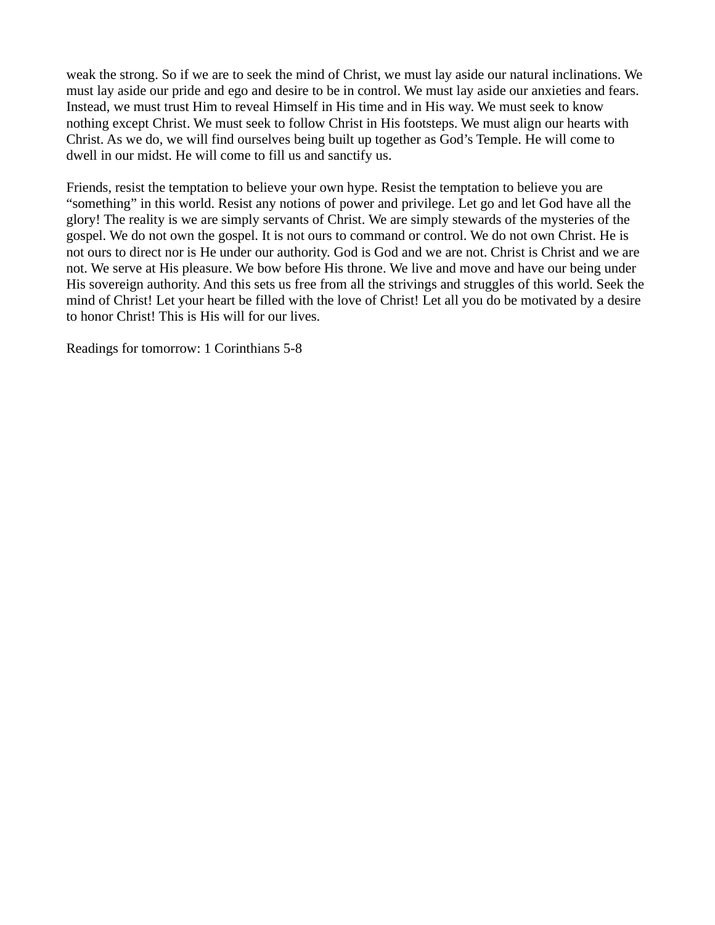weak the strong. So if we are to seek the mind of Christ, we must lay aside our natural inclinations. We must lay aside our pride and ego and desire to be in control. We must lay aside our anxieties and fears. Instead, we must trust Him to reveal Himself in His time and in His way. We must seek to know nothing except Christ. We must seek to follow Christ in His footsteps. We must align our hearts with Christ. As we do, we will find ourselves being built up together as God's Temple. He will come to dwell in our midst. He will come to fill us and sanctify us.

Friends, resist the temptation to believe your own hype. Resist the temptation to believe you are "something" in this world. Resist any notions of power and privilege. Let go and let God have all the glory! The reality is we are simply servants of Christ. We are simply stewards of the mysteries of the gospel. We do not own the gospel. It is not ours to command or control. We do not own Christ. He is not ours to direct nor is He under our authority. God is God and we are not. Christ is Christ and we are not. We serve at His pleasure. We bow before His throne. We live and move and have our being under His sovereign authority. And this sets us free from all the strivings and struggles of this world. Seek the mind of Christ! Let your heart be filled with the love of Christ! Let all you do be motivated by a desire to honor Christ! This is His will for our lives.

Readings for tomorrow: 1 Corinthians 5-8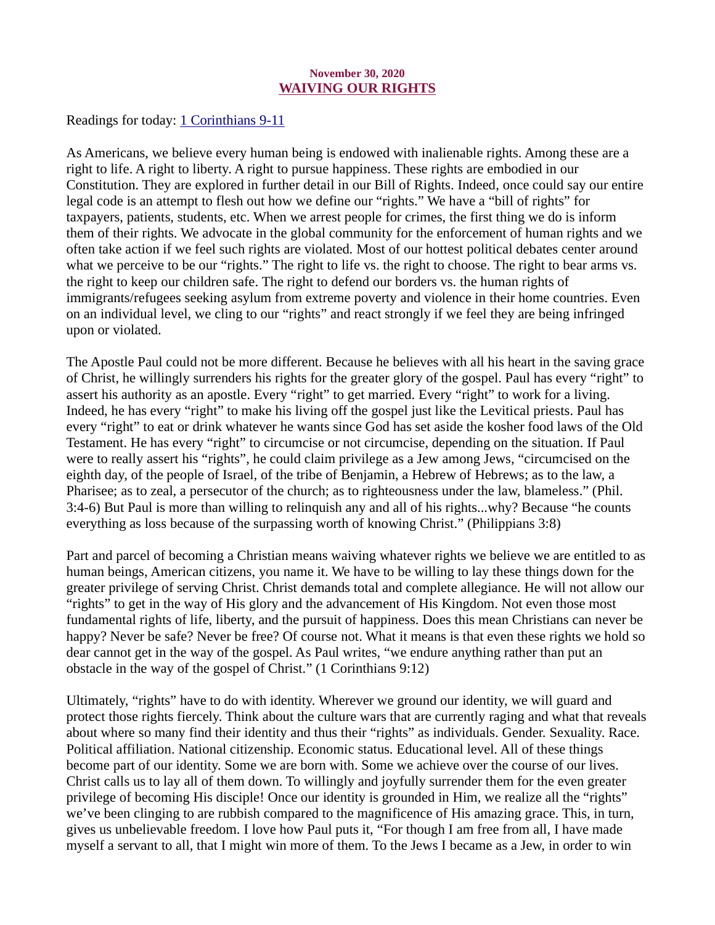#### November 30, 2020 WAIVING OUR RIGHTS

<span id="page-33-0"></span>[Readings for today: 1 Corinthians 9-11](https://www.biblegateway.com/passage/?search=1+Corinthians+9-11&version=ESV)

As Americans, we believe every human being is endowed with inalienable rights. Among these are a right to life. A right to liberty. A right to pursue happiness. These rights are embodied in our Constitution. They are explored in further detail in our Bill of Rights. Indeed, once could say our entire legal code is an attempt to flesh out how we define our "rights." We have a "bill of rights" for taxpayers, patients, students, etc. When we arrest people for crimes, the first thing we do is inform them of their rights. We advocate in the global community for the enforcement of human rights and we often take action if we feel such rights are violated. Most of our hottest political debates center around what we perceive to be our "rights." The right to life vs. the right to choose. The right to bear arms vs. the right to keep our children safe. The right to defend our borders vs. the human rights of immigrants/refugees seeking asylum from extreme poverty and violence in their home countries. Even on an individual level, we cling to our "rights" and react strongly if we feel they are being infringed upon or violated.

The Apostle Paul could not be more different. Because he believes with all his heart in the saving grace of Christ, he willingly surrenders his rights for the greater glory of the gospel. Paul has every "right" to assert his authority as an apostle. Every "right" to get married. Every "right" to work for a living. Indeed, he has every "right" to make his living off the gospel just like the Levitical priests. Paul has every "right" to eat or drink whatever he wants since God has set aside the kosher food laws of the Old Testament. He has every "right" to circumcise or not circumcise, depending on the situation. If Paul were to really assert his "rights", he could claim privilege as a Jew among Jews, "circumcised on the eighth day, of the people of Israel, of the tribe of Benjamin, a Hebrew of Hebrews; as to the law, a Pharisee; as to zeal, a persecutor of the church; as to righteousness under the law, blameless." (Phil. 3:4-6) But Paul is more than willing to relinquish any and all of his rights...why? Because "he counts everything as loss because of the surpassing worth of knowing Christ." (Philippians 3:8)

Part and parcel of becoming a Christian means waiving whatever rights we believe we are entitled to as human beings, American citizens, you name it. We have to be willing to lay these things down for the greater privilege of serving Christ. Christ demands total and complete allegiance. He will not allow our "rights" to get in the way of His glory and the advancement of His Kingdom. Not even those most fundamental rights of life, liberty, and the pursuit of happiness. Does this mean Christians can never be happy? Never be safe? Never be free? Of course not. What it means is that even these rights we hold so dear cannot get in the way of the gospel. As Paul writes, "we endure anything rather than put an obstacle in the way of the gospel of Christ." (1 Corinthians 9:12)

Ultimately, "rights" have to do with identity. Wherever we ground our identity, we will guard and protect those rights fiercely. Think about the culture wars that are currently raging and what that reveals about where so many find their identity and thus their "rights" as individuals. Gender. Sexuality. Race. Political affiliation. National citizenship. Economic status. Educational level. All of these things become part of our identity. Some we are born with. Some we achieve over the course of our lives. Christ calls us to lay all of them down. To willingly and joyfully surrender them for the even greater privilege of becoming His disciple! Once our identity is grounded in Him, we realize all the "rights" we've been clinging to are rubbish compared to the magnificence of His amazing grace. This, in turn, gives us unbelievable freedom. I love how Paul puts it, "For though I am free from all, I have made myself a servant to all, that I might win more of them. To the Jews I became as a Jew, in order to win